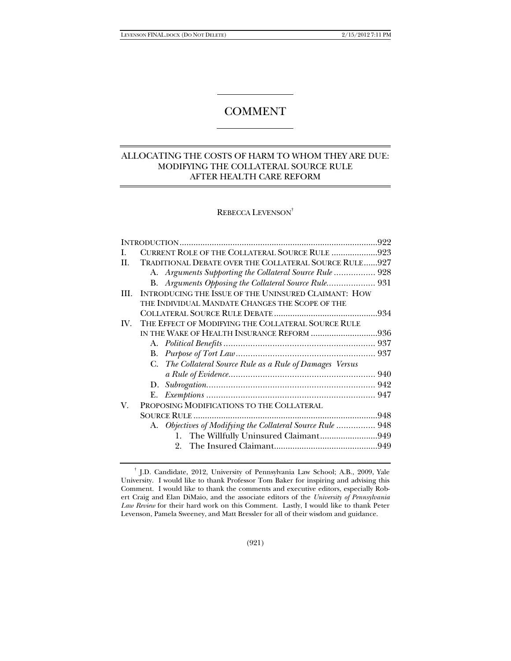# COMMENT

## ALLOCATING THE COSTS OF HARM TO WHOM THEY ARE DUE: MODIFYING THE COLLATERAL SOURCE RULE AFTER HEALTH CARE REFORM

### REBECCA LEVENSON†

| L   | CURRENT ROLE OF THE COLLATERAL SOURCE RULE 923             |  |
|-----|------------------------------------------------------------|--|
| H.  | TRADITIONAL DEBATE OVER THE COLLATERAL SOURCE RULE927      |  |
|     | A. Arguments Supporting the Collateral Source Rule  928    |  |
|     | B. Arguments Opposing the Collateral Source Rule 931       |  |
| HI. | INTRODUCING THE ISSUE OF THE UNINSURED CLAIMANT: HOW       |  |
|     | THE INDIVIDUAL MANDATE CHANGES THE SCOPE OF THE            |  |
|     |                                                            |  |
| IV. | THE EFFECT OF MODIFYING THE COLLATERAL SOURCE RULE         |  |
|     | IN THE WAKE OF HEALTH INSURANCE REFORM 936                 |  |
|     |                                                            |  |
|     |                                                            |  |
|     | C. The Collateral Source Rule as a Rule of Damages Versus  |  |
|     |                                                            |  |
|     |                                                            |  |
|     |                                                            |  |
| V.  | PROPOSING MODIFICATIONS TO THE COLLATERAL                  |  |
|     |                                                            |  |
|     | A. Objectives of Modifying the Collateral Source Rule  948 |  |
|     | 1. The Willfully Uninsured Claimant949                     |  |
|     |                                                            |  |
|     |                                                            |  |

<sup>†</sup> J.D. Candidate, 2012, University of Pennsylvania Law School; A.B., 2009, Yale University. I would like to thank Professor Tom Baker for inspiring and advising this Comment. I would like to thank the comments and executive editors, especially Robert Craig and Elan DiMaio, and the associate editors of the *University of Pennsylvania Law Review* for their hard work on this Comment. Lastly, I would like to thank Peter Levenson, Pamela Sweeney, and Matt Bressler for all of their wisdom and guidance.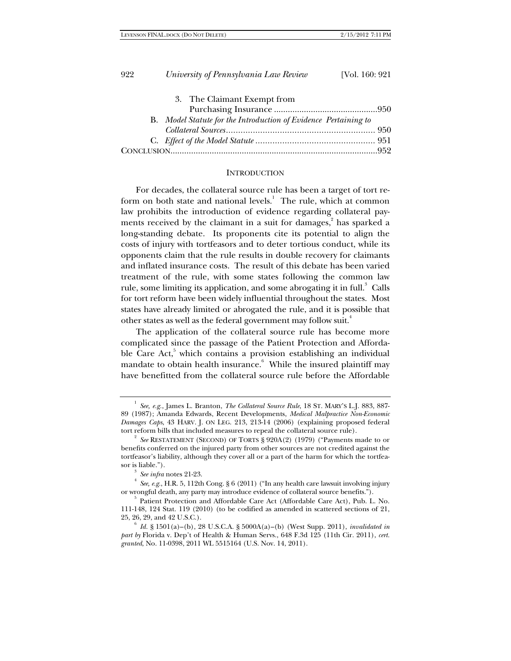| 3. The Claimant Exempt from                                     |  |
|-----------------------------------------------------------------|--|
|                                                                 |  |
| B. Model Statute for the Introduction of Evidence Pertaining to |  |
|                                                                 |  |
|                                                                 |  |
|                                                                 |  |
|                                                                 |  |

#### **INTRODUCTION**

For decades, the collateral source rule has been a target of tort reform on both state and national levels.<sup>1</sup> The rule, which at common law prohibits the introduction of evidence regarding collateral payments received by the claimant in a suit for damages,<sup>2</sup> has sparked a long-standing debate. Its proponents cite its potential to align the costs of injury with tortfeasors and to deter tortious conduct, while its opponents claim that the rule results in double recovery for claimants and inflated insurance costs. The result of this debate has been varied treatment of the rule, with some states following the common law rule, some limiting its application, and some abrogating it in full.<sup>3</sup> Calls for tort reform have been widely influential throughout the states. Most states have already limited or abrogated the rule, and it is possible that other states as well as the federal government may follow suit.<sup>4</sup>

The application of the collateral source rule has become more complicated since the passage of the Patient Protection and Affordable Care Act,<sup>5</sup> which contains a provision establishing an individual mandate to obtain health insurance.<sup>6</sup> While the insured plaintiff may have benefitted from the collateral source rule before the Affordable

<sup>1</sup> *See, e.g.*, James L. Branton, *The Collateral Source Rule*, 18 ST. MARY'S L.J. 883, 887- 89 (1987); Amanda Edwards, Recent Developments, *Medical Malpractice Non-Economic Damages Caps*, 43 HARV. J. ON LEG. 213, 213-14 (2006) (explaining proposed federal tort reform bills that included measures to repeal the collateral source rule). 2

*See* RESTATEMENT (SECOND) OF TORTS § 920A(2) (1979) ("Payments made to or benefits conferred on the injured party from other sources are not credited against the tortfeasor's liability, although they cover all or a part of the harm for which the tortfeasor is liable.").<br><sup>3</sup> *See infra* notes 21-23.

*See, e.g.*, H.R. 5, 112th Cong. § 6 (2011) ("In any health care lawsuit involving injury or wrongful death, any party may introduce evidence of collateral source benefits."). 5

 $5$  Patient Protection and Affordable Care Act (Affordable Care Act), Pub. L. No. 111-148, 124 Stat. 119 (2010) (to be codified as amended in scattered sections of 21, 25, 26, 29, and 42 U.S.C.). 6 *Id.* § 1501(a)–(b), 28 U.S.C.A. § 5000A(a)–(b) (West Supp. 2011), *invalidated in* 

*part by* Florida v. Dep't of Health & Human Servs., 648 F.3d 125 (11th Cir. 2011), *cert. granted*, No. 11-0398, 2011 WL 5515164 (U.S. Nov. 14, 2011).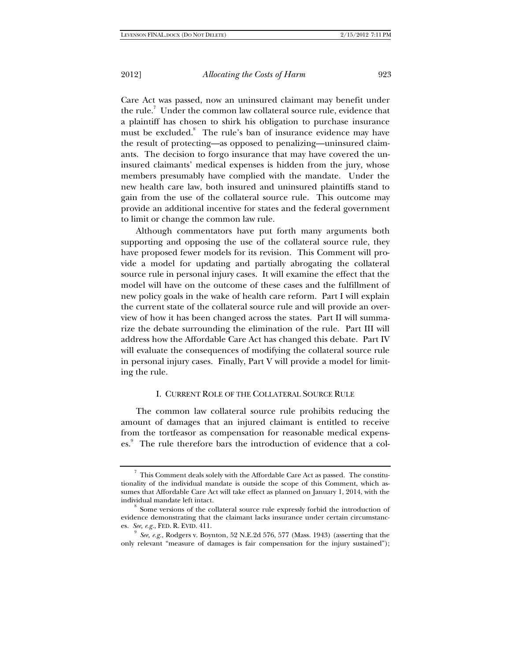Care Act was passed, now an uninsured claimant may benefit under the rule.<sup>7</sup> Under the common law collateral source rule, evidence that a plaintiff has chosen to shirk his obligation to purchase insurance must be excluded.<sup>8</sup> The rule's ban of insurance evidence may have the result of protecting—as opposed to penalizing—uninsured claimants. The decision to forgo insurance that may have covered the uninsured claimants' medical expenses is hidden from the jury, whose members presumably have complied with the mandate. Under the new health care law, both insured and uninsured plaintiffs stand to gain from the use of the collateral source rule. This outcome may provide an additional incentive for states and the federal government to limit or change the common law rule.

Although commentators have put forth many arguments both supporting and opposing the use of the collateral source rule, they have proposed fewer models for its revision. This Comment will provide a model for updating and partially abrogating the collateral source rule in personal injury cases. It will examine the effect that the model will have on the outcome of these cases and the fulfillment of new policy goals in the wake of health care reform. Part I will explain the current state of the collateral source rule and will provide an overview of how it has been changed across the states. Part II will summarize the debate surrounding the elimination of the rule. Part III will address how the Affordable Care Act has changed this debate. Part IV will evaluate the consequences of modifying the collateral source rule in personal injury cases. Finally, Part V will provide a model for limiting the rule.

### I. CURRENT ROLE OF THE COLLATERAL SOURCE RULE

The common law collateral source rule prohibits reducing the amount of damages that an injured claimant is entitled to receive from the tortfeasor as compensation for reasonable medical expenses.<sup>9</sup> The rule therefore bars the introduction of evidence that a col-

 $^7\,$  This Comment deals solely with the Affordable Care Act as passed. The constitutionality of the individual mandate is outside the scope of this Comment, which assumes that Affordable Care Act will take effect as planned on January 1, 2014, with the individual mandate left intact.<br><sup>8</sup> Some versions of the collateral source rule expressly forbid the introduction of

evidence demonstrating that the claimant lacks insurance under certain circumstances. *See, e.g.*, FED. R. EVID. 411.<br><sup>9</sup> *See, e.g.*, Rodgers v. Boynton, 52 N.E.2d 576, 577 (Mass. 1943) (asserting that the

only relevant "measure of damages is fair compensation for the injury sustained");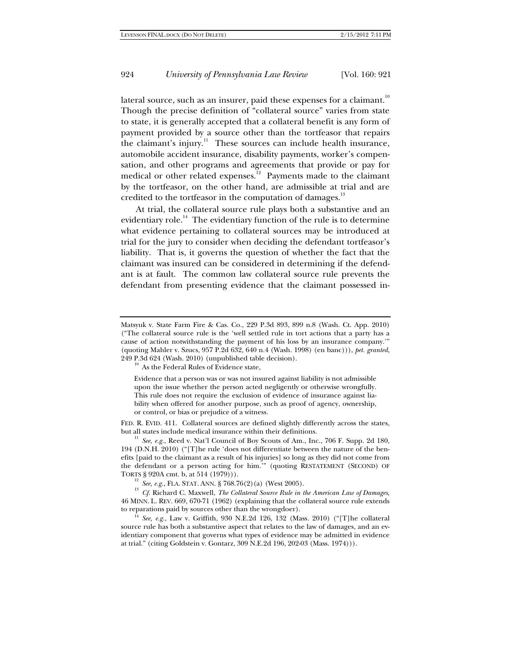lateral source, such as an insurer, paid these expenses for a claimant. $^{10}$ Though the precise definition of "collateral source" varies from state to state, it is generally accepted that a collateral benefit is any form of payment provided by a source other than the tortfeasor that repairs the claimant's injury.<sup>11</sup> These sources can include health insurance, automobile accident insurance, disability payments, worker's compensation, and other programs and agreements that provide or pay for medical or other related expenses.<sup>12</sup> Payments made to the claimant by the tortfeasor, on the other hand, are admissible at trial and are credited to the tortfeasor in the computation of damages. $^{13}$ 

At trial, the collateral source rule plays both a substantive and an evidentiary role.<sup>14</sup> The evidentiary function of the rule is to determine what evidence pertaining to collateral sources may be introduced at trial for the jury to consider when deciding the defendant tortfeasor's liability. That is, it governs the question of whether the fact that the claimant was insured can be considered in determining if the defendant is at fault. The common law collateral source rule prevents the defendant from presenting evidence that the claimant possessed in-

Evidence that a person was or was not insured against liability is not admissible upon the issue whether the person acted negligently or otherwise wrongfully. This rule does not require the exclusion of evidence of insurance against liability when offered for another purpose, such as proof of agency, ownership, or control, or bias or prejudice of a witness.

FED. R. EVID. 411. Collateral sources are defined slightly differently across the states, but all states include medical insurance within their definitions.

bee, e.g., Reed v. Nat'l Council of Boy Scouts of Am., Inc., 706 F. Supp. 2d 180, 194 (D.N.H. 2010) ("[T]he rule 'does not differentiate between the nature of the benefits [paid to the claimant as a result of his injuries] so long as they did not come from the defendant or a person acting for him.'" (quoting RESTATEMENT (SECOND) OF TORTS § 920A cmt. b, at 514 (1979))).

<sup>12</sup> *See, e.g.*, FLA. STAT. ANN. § 768.76(2)(a) (West 2005). <sup>13</sup> *Cf.* Richard C. Maxwell, *The Collateral Source Rule in the American Law of Damages,* 46 MINN. L. REV. 669, 670-71 (1962) (explaining that the collateral source rule extends to reparations paid by sources other than the wrongdoer).<br><sup>14</sup> *See, e.g.*, Law v. Griffith, 930 N.E.2d 126, 132 (Mass. 2010) ("[T]he collateral

source rule has both a substantive aspect that relates to the law of damages, and an evidentiary component that governs what types of evidence may be admitted in evidence at trial." (citing Goldstein v. Gontarz, 309 N.E.2d 196, 202-03 (Mass. 1974))).

Matsyuk v. State Farm Fire & Cas. Co., 229 P.3d 893, 899 n.8 (Wash. Ct. App. 2010) ("The collateral source rule is the 'well settled rule in tort actions that a party has a cause of action notwithstanding the payment of his loss by an insurance company.'" (quoting Mahler v. Szucs, 957 P.2d 632, 640 n.4 (Wash. 1998) (en banc))), *pet. granted*, 249 P.3d 624 (Wash. 2010) (unpublished table decision).  $\frac{10}{10}$  As the Federal Rules of Evidence state,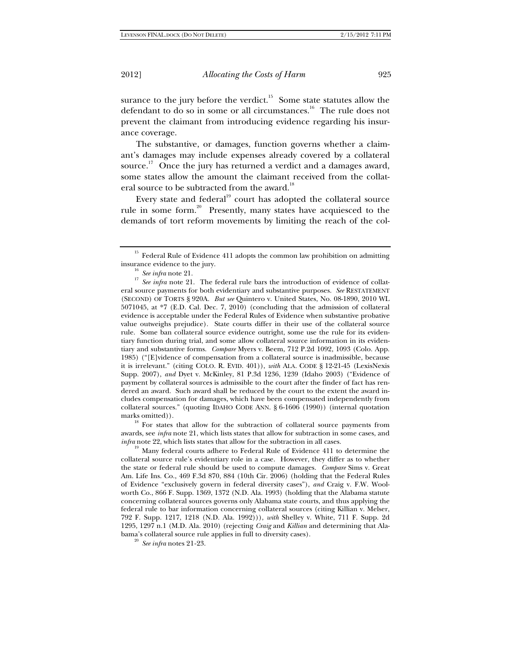surance to the jury before the verdict.<sup>15</sup> Some state statutes allow the defendant to do so in some or all circumstances.<sup>16</sup> The rule does not prevent the claimant from introducing evidence regarding his insurance coverage.

The substantive, or damages, function governs whether a claimant's damages may include expenses already covered by a collateral source.<sup>17</sup> Once the jury has returned a verdict and a damages award, some states allow the amount the claimant received from the collateral source to be subtracted from the award.<sup>18</sup>

Every state and federal<sup>19</sup> court has adopted the collateral source rule in some form.20 Presently, many states have acquiesced to the demands of tort reform movements by limiting the reach of the col-

marks omitted)). <sup>18</sup> For states that allow for the subtraction of collateral source payments from awards, see *infra* note 21, which lists states that allow for subtraction in some cases, and *infra* note 22, which lists states that allow for the subtraction in all cases.

<sup>19</sup> Many federal courts adhere to Federal Rule of Evidence 411 to determine the collateral source rule's evidentiary role in a case. However, they differ as to whether the state or federal rule should be used to compute damages. *Compare* Sims v. Great Am. Life Ins. Co., 469 F.3d 870, 884 (10th Cir. 2006) (holding that the Federal Rules of Evidence "exclusively govern in federal diversity cases"), *and* Craig v. F.W. Woolworth Co., 866 F. Supp. 1369, 1372 (N.D. Ala. 1993) (holding that the Alabama statute concerning collateral sources governs only Alabama state courts, and thus applying the federal rule to bar information concerning collateral sources (citing Killian v. Melser, 792 F. Supp. 1217, 1218 (N.D. Ala. 1992))), *with* Shelley v. White, 711 F. Supp. 2d 1295, 1297 n.1 (M.D. Ala. 2010) (rejecting *Craig* and *Killian* and determining that Alabama's collateral source rule applies in full to diversity cases). 20 *See infra* notes 21-23.

 $^{15}\,$  Federal Rule of Evidence 411 adopts the common law prohibition on admitting

insurance evidence to the jury.<br><sup>16</sup> *See infra* note 21. The federal rule bars the introduction of evidence of collat-<br><sup>17</sup> *See infra* note 21. The federal rule bars the introduction of evidence of collateral source payments for both evidentiary and substantive purposes. *See* RESTATEMENT (SECOND) OF TORTS § 920A. *But see* Quintero v. United States, No. 08-1890, 2010 WL 5071045, at \*7 (E.D. Cal. Dec. 7, 2010) (concluding that the admission of collateral evidence is acceptable under the Federal Rules of Evidence when substantive probative value outweighs prejudice). State courts differ in their use of the collateral source rule. Some ban collateral source evidence outright, some use the rule for its evidentiary function during trial, and some allow collateral source information in its evidentiary and substantive forms. *Compare* Myers v. Beem, 712 P.2d 1092, 1093 (Colo. App. 1985) ("[E]vidence of compensation from a collateral source is inadmissible, because it is irrelevant." (citing COLO. R. EVID. 401)), *with* ALA. CODE § 12-21-45 (LexisNexis Supp. 2007), *and* Dyet v. McKinley, 81 P.3d 1236, 1239 (Idaho 2003) ("Evidence of payment by collateral sources is admissible to the court after the finder of fact has rendered an award. Such award shall be reduced by the court to the extent the award includes compensation for damages, which have been compensated independently from collateral sources." (quoting IDAHO CODE ANN. § 6-1606 (1990)) (internal quotation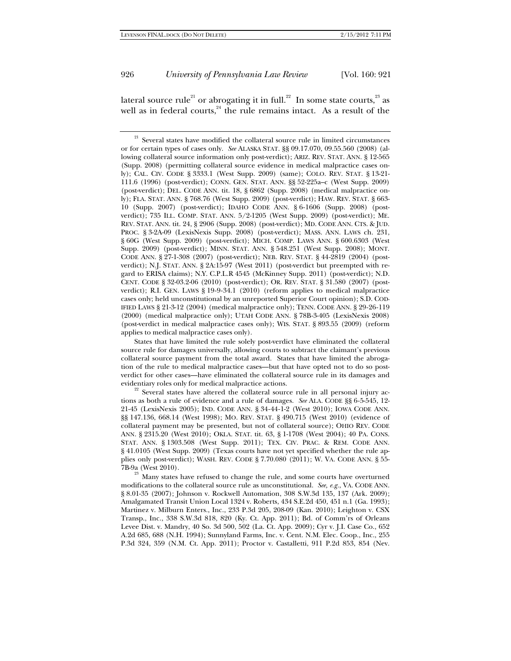lateral source rule $^{\text{21}}$  or abrogating it in full. $^{\text{22}}$  In some state courts, $^{\text{23}}$  as well as in federal courts,  $24$  the rule remains intact. As a result of the

 States that have limited the rule solely post-verdict have eliminated the collateral source rule for damages universally, allowing courts to subtract the claimant's previous collateral source payment from the total award. States that have limited the abrogation of the rule to medical malpractice cases—but that have opted not to do so postverdict for other cases—have eliminated the collateral source rule in its damages and evidentiary roles only for medical malpractice actions.<br><sup>22</sup> Several states have altered the collateral source rule in all personal injury ac-

tions as both a rule of evidence and a rule of damages. *See* ALA. CODE §§ 6-5-545, 12- 21-45 (LexisNexis 2005); IND. CODE ANN. § 34-44-1-2 (West 2010); IOWA CODE ANN. §§ 147.136, 668.14 (West 1998); MO. REV. STAT. § 490.715 (West 2010) (evidence of collateral payment may be presented, but not of collateral source); OHIO REV. CODE ANN. § 2315.20 (West 2010); OKLA. STAT. tit. 63, § 1-1708 (West 2004); 40 PA. CONS. STAT. ANN. § 1303.508 (West Supp. 2011); TEX. CIV. PRAC. & REM. CODE ANN. § 41.0105 (West Supp. 2009) (Texas courts have not yet specified whether the rule applies only post-verdict); WASH. REV. CODE § 7.70.080 (2011); W. VA. CODE ANN. § 55-  $7B-9a$  (West 2010).<br><sup>23</sup> Many states have refused to change the rule, and some courts have overturned

modifications to the collateral source rule as unconstitutional. *See, e.g.*, VA. CODE ANN. § 8.01-35 (2007); Johnson v. Rockwell Automation, 308 S.W.3d 135, 137 (Ark. 2009); Amalgamated Transit Union Local 1324 v. Roberts, 434 S.E.2d 450, 451 n.1 (Ga. 1993); Martinez v. Milburn Enters., Inc., 233 P.3d 205, 208-09 (Kan. 2010); Leighton v. CSX Transp., Inc., 338 S.W.3d 818, 820 (Ky. Ct. App. 2011); Bd. of Comm'rs of Orleans Levee Dist. v. Mandry, 40 So. 3d 500, 502 (La. Ct. App. 2009); Cyr v. J.I. Case Co., 652 A.2d 685, 688 (N.H. 1994); Sunnyland Farms, Inc. v. Cent. N.M. Elec. Coop., Inc., 255 P.3d 324, 359 (N.M. Ct. App. 2011); Proctor v. Castalletti, 911 P.2d 853, 854 (Nev.

 $21$  Several states have modified the collateral source rule in limited circumstances or for certain types of cases only. *See* ALASKA STAT. §§ 09.17.070, 09.55.560 (2008) (allowing collateral source information only post-verdict); ARIZ. REV. STAT. ANN. § 12-565 (Supp. 2008) (permitting collateral source evidence in medical malpractice cases only); CAL. CIV. CODE § 3333.1 (West Supp. 2009) (same); COLO. REV. STAT. § 13-21- 111.6 (1996) (post-verdict); CONN. GEN. STAT. ANN. §§ 52-225a–c (West Supp. 2009) (post-verdict); DEL. CODE ANN. tit. 18, § 6862 (Supp. 2008) (medical malpractice only); FLA. STAT. ANN. § 768.76 (West Supp. 2009) (post-verdict); HAW. REV. STAT. § 663- 10 (Supp. 2007) (post-verdict); IDAHO CODE ANN. § 6-1606 (Supp. 2008) (postverdict); 735 ILL. COMP. STAT. ANN. 5/2-1205 (West Supp. 2009) (post-verdict); ME. REV. STAT. ANN. tit. 24, § 2906 (Supp. 2008) (post-verdict); MD. CODE ANN. CTS. & JUD. PROC. § 3-2A-09 (LexisNexis Supp. 2008) (post-verdict); MASS. ANN. LAWS ch. 231, § 60G (West Supp. 2009) (post-verdict); MICH. COMP. LAWS ANN. § 600.6303 (West Supp. 2009) (post-verdict); MINN. STAT. ANN. § 548.251 (West Supp. 2008); MONT. CODE ANN. § 27-1-308 (2007) (post-verdict); NEB. REV. STAT. § 44-2819 (2004) (postverdict); N.J. STAT. ANN. § 2A:15-97 (West 2011) (post-verdict but preempted with regard to ERISA claims); N.Y. C.P.L.R 4545 (McKinney Supp. 2011) (post-verdict); N.D. CENT. CODE § 32-03.2-06 (2010) (post-verdict); OR. REV. STAT. § 31.580 (2007) (postverdict); R.I. GEN. LAWS § 19-9-34.1 (2010) (reform applies to medical malpractice cases only; held unconstitutional by an unreported Superior Court opinion); S.D. COD-IFIED LAWS § 21-3-12 (2004) (medical malpractice only); TENN. CODE ANN. § 29-26-119 (2000) (medical malpractice only); UTAH CODE ANN. § 78B-3-405 (LexisNexis 2008) (post-verdict in medical malpractice cases only); WIS. STAT. § 893.55 (2009) (reform applies to medical malpractice cases only).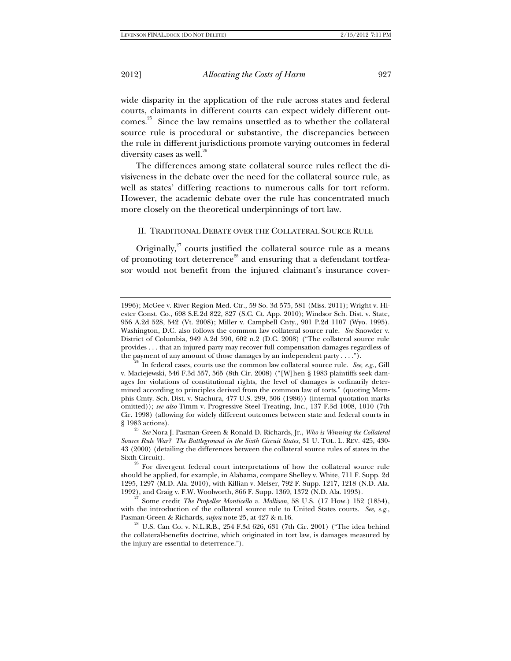wide disparity in the application of the rule across states and federal courts, claimants in different courts can expect widely different outcomes.25 Since the law remains unsettled as to whether the collateral source rule is procedural or substantive, the discrepancies between the rule in different jurisdictions promote varying outcomes in federal diversity cases as well. $^{26}$ 

The differences among state collateral source rules reflect the divisiveness in the debate over the need for the collateral source rule, as well as states' differing reactions to numerous calls for tort reform. However, the academic debate over the rule has concentrated much more closely on the theoretical underpinnings of tort law.

#### II. TRADITIONAL DEBATE OVER THE COLLATERAL SOURCE RULE

Originally, $27$  courts justified the collateral source rule as a means of promoting tort deterrence<sup>28</sup> and ensuring that a defendant tortfeasor would not benefit from the injured claimant's insurance cover-

<sup>1996);</sup> McGee v. River Region Med. Ctr., 59 So. 3d 575, 581 (Miss. 2011); Wright v. Hiester Const. Co., 698 S.E.2d 822, 827 (S.C. Ct. App. 2010); Windsor Sch. Dist. v. State, 956 A.2d 528, 542 (Vt. 2008); Miller v. Campbell Cnty., 901 P.2d 1107 (Wyo. 1995). Washington, D.C. also follows the common law collateral source rule. *See* Snowder v. District of Columbia, 949 A.2d 590, 602 n.2 (D.C. 2008) ("The collateral source rule provides . . . that an injured party may recover full compensation damages regardless of the payment of any amount of those damages by an independent party . . . .").<br><sup>24</sup> In federal cases, courts use the common law collateral source rule. *See, e.g.*, Gill

v. Maciejewski, 546 F.3d 557, 565 (8th Cir. 2008) ("[W]hen § 1983 plaintiffs seek damages for violations of constitutional rights, the level of damages is ordinarily determined according to principles derived from the common law of torts." (quoting Memphis Cmty. Sch. Dist. v. Stachura, 477 U.S. 299, 306 (1986)) (internal quotation marks omitted)); *see also* Timm v. Progressive Steel Treating, Inc., 137 F.3d 1008, 1010 (7th Cir. 1998) (allowing for widely different outcomes between state and federal courts in

<sup>§ 1983</sup> actions). 25 *See* Nora J. Pasman-Green & Ronald D. Richards, Jr., *Who is Winning the Collateral Source Rule War? The Battleground in the Sixth Circuit States*, 31 U. TOL. L. REV. 425, 430- 43 (2000) (detailing the differences between the collateral source rules of states in the

Sixth Circuit).  $26$  For divergent federal court interpretations of how the collateral source rule should be applied, for example, in Alabama, compare Shelley v. White, 711 F. Supp. 2d 1295, 1297 (M.D. Ala. 2010), with Killian v. Melser, 792 F. Supp. 1217, 1218 (N.D. Ala.

<sup>1992),</sup> and Craig v. F.W. Woolworth, 866 F. Supp. 1369, 1372 (N.D. Ala. 1993). 27 Some credit *The Propeller Monticello v. Mollison*, 58 U.S. (17 How.) 152 (1854), with the introduction of the collateral source rule to United States courts. *See, e.g.*, Pasman-Green & Richards, *supra* note 25, at 427 & n.16.<br><sup>28</sup> U.S. Can Co. v. N.L.R.B., 254 F.3d 626, 631 (7th Cir. 2001) ("The idea behind

the collateral-benefits doctrine, which originated in tort law, is damages measured by the injury are essential to deterrence.").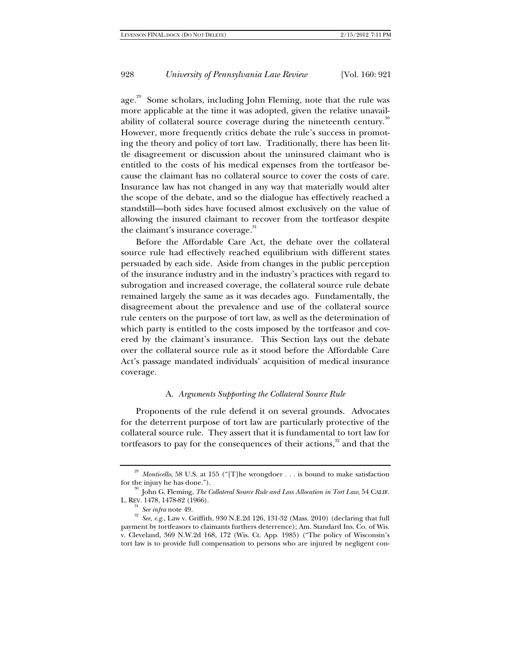age.<sup>29</sup> Some scholars, including John Fleming, note that the rule was more applicable at the time it was adopted, given the relative unavailability of collateral source coverage during the nineteenth century. $30$ However, more frequently critics debate the rule's success in promoting the theory and policy of tort law. Traditionally, there has been little disagreement or discussion about the uninsured claimant who is entitled to the costs of his medical expenses from the tortfeasor because the claimant has no collateral source to cover the costs of care. Insurance law has not changed in any way that materially would alter the scope of the debate, and so the dialogue has effectively reached a standstill—both sides have focused almost exclusively on the value of allowing the insured claimant to recover from the tortfeasor despite the claimant's insurance coverage.<sup>31</sup>

Before the Affordable Care Act, the debate over the collateral source rule had effectively reached equilibrium with different states persuaded by each side. Aside from changes in the public perception of the insurance industry and in the industry's practices with regard to subrogation and increased coverage, the collateral source rule debate remained largely the same as it was decades ago. Fundamentally, the disagreement about the prevalence and use of the collateral source rule centers on the purpose of tort law, as well as the determination of which party is entitled to the costs imposed by the tortfeasor and covered by the claimant's insurance. This Section lays out the debate over the collateral source rule as it stood before the Affordable Care Act's passage mandated individuals' acquisition of medical insurance coverage.

#### A. *Arguments Supporting the Collateral Source Rule*

Proponents of the rule defend it on several grounds. Advocates for the deterrent purpose of tort law are particularly protective of the collateral source rule. They assert that it is fundamental to tort law for tortfeasors to pay for the consequences of their actions, $32$  and that the

<sup>&</sup>lt;sup>29</sup> *Monticello*, 58 U.S. at 155 ("[T]he wrongdoer . . . is bound to make satisfaction for the injury he has done.").<br><sup>30</sup> John G. Fleming, *The Collateral Source Rule and Loss Allocation in Tort Law*, 54 CALIF.

L. REV. 1478, 1478-82 (1966).<br><sup>31</sup> *See infra* note 49.<br><sup>32</sup> *See, e.g.*, Law v. Griffith, 930 N.E.2d 126, 131-32 (Mass. 2010) (declaring that full payment by tortfeasors to claimants furthers deterrence); Am. Standard Ins. Co. of Wis. v. Cleveland, 369 N.W.2d 168, 172 (Wis. Ct. App. 1985) ("The policy of Wisconsin's tort law is to provide full compensation to persons who are injured by negligent con-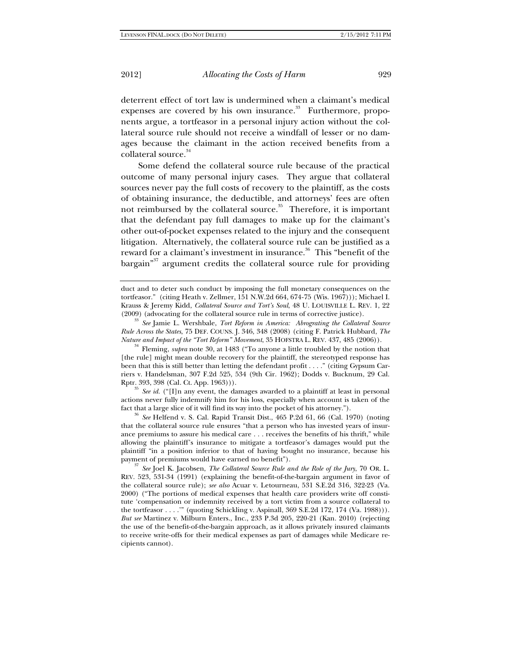deterrent effect of tort law is undermined when a claimant's medical expenses are covered by his own insurance. $33$  Furthermore, proponents argue, a tortfeasor in a personal injury action without the collateral source rule should not receive a windfall of lesser or no damages because the claimant in the action received benefits from a collateral source.<sup>34</sup>

 Some defend the collateral source rule because of the practical outcome of many personal injury cases. They argue that collateral sources never pay the full costs of recovery to the plaintiff, as the costs of obtaining insurance, the deductible, and attorneys' fees are often not reimbursed by the collateral source.<sup>35</sup> Therefore, it is important that the defendant pay full damages to make up for the claimant's other out-of-pocket expenses related to the injury and the consequent litigation. Alternatively, the collateral source rule can be justified as a reward for a claimant's investment in insurance.<sup>36</sup> This "benefit of the bargain"<sup>37</sup> argument credits the collateral source rule for providing

duct and to deter such conduct by imposing the full monetary consequences on the tortfeasor." (citing Heath v. Zellmer, 151 N.W.2d 664, 674-75 (Wis. 1967))); Michael I. Krauss & Jeremy Kidd, *Collateral Source and Tort's Soul*, 48 U. LOUISVILLE L. REV. 1, 22

<sup>33</sup> See Jamie L. Wershbale, *Tort Reform in America: Abrograting the Collateral Source Rule Across the States*, 75 DEF. COUNS. J. 346, 348 (2008) (citing F. Patrick Hubbard, *The Nature and Impact of the "Tort Reform" Movement*, 35 HOFSTRA L. REV. 437, 485 (2006)). 34 Fleming, *supra* note 30, at 1483 ("To anyone a little troubled by the notion that

[the rule] might mean double recovery for the plaintiff, the stereotyped response has been that this is still better than letting the defendant profit . . . ." (citing Gypsum Carriers v. Handelsman, 307 F.2d 525, 534 (9th Cir. 1962); Dodds v. Bucknum, 29 Cal.

 $\frac{35}{35}$  *See id.* ("[I]n any event, the damages awarded to a plaintiff at least in personal actions never fully indemnify him for his loss, especially when account is taken of the

fact that a large slice of it will find its way into the pocket of his attorney."). 36 *See* Helfend v. S. Cal. Rapid Transit Dist., 465 P.2d 61, 66 (Cal. 1970) (noting that the collateral source rule ensures "that a person who has invested years of insurance premiums to assure his medical care . . . receives the benefits of his thrift," while allowing the plaintiff's insurance to mitigate a tortfeasor's damages would put the plaintiff "in a position inferior to that of having bought no insurance, because his payment of premiums would have earned no benefit").

<sup>37</sup> See Joel K. Jacobsen, *The Collateral Source Rule and the Role of the Jury*, 70 OR. L. REV. 523, 531-34 (1991) (explaining the benefit-of-the-bargain argument in favor of the collateral source rule); *see also* Acuar v. Letourneau, 531 S.E.2d 316, 322-23 (Va. 2000) ("The portions of medical expenses that health care providers write off constitute 'compensation or indemnity received by a tort victim from a source collateral to the tortfeasor . . . .'" (quoting Schickling v. Aspinall, 369 S.E.2d 172, 174 (Va. 1988))). *But see* Martinez v. Milburn Enters., Inc., 233 P.3d 205, 220-21 (Kan. 2010) (rejecting the use of the benefit-of-the-bargain approach, as it allows privately insured claimants to receive write-offs for their medical expenses as part of damages while Medicare recipients cannot).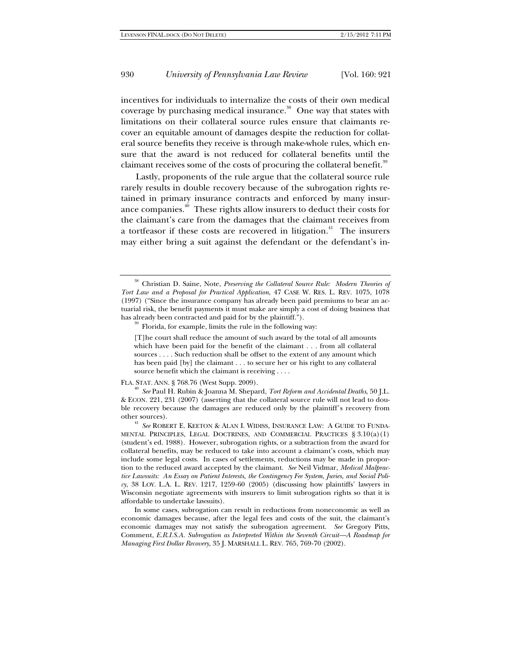incentives for individuals to internalize the costs of their own medical coverage by purchasing medical insurance.<sup>38</sup> One way that states with limitations on their collateral source rules ensure that claimants recover an equitable amount of damages despite the reduction for collateral source benefits they receive is through make-whole rules, which ensure that the award is not reduced for collateral benefits until the claimant receives some of the costs of procuring the collateral benefit.<sup>39</sup>

Lastly, proponents of the rule argue that the collateral source rule rarely results in double recovery because of the subrogation rights retained in primary insurance contracts and enforced by many insurance companies.<sup>40</sup> These rights allow insurers to deduct their costs for the claimant's care from the damages that the claimant receives from a tortfeasor if these costs are recovered in litigation.<sup>41</sup> The insurers may either bring a suit against the defendant or the defendant's in-

 $39$  Florida, for example, limits the rule in the following way:

[T]he court shall reduce the amount of such award by the total of all amounts which have been paid for the benefit of the claimant . . . from all collateral sources . . . . Such reduction shall be offset to the extent of any amount which has been paid [by] the claimant . . . to secure her or his right to any collateral source benefit which the claimant is receiving . . . .

FLA. STAT. ANN. § 768.76 (West Supp. 2009). 40 *See* Paul H. Rubin & Joanna M. Shepard, *Tort Reform and Accidental Deaths*, 50 J.L. & ECON. 221, 231 (2007) (asserting that the collateral source rule will not lead to double recovery because the damages are reduced only by the plaintiff's recovery from other sources). 41 *See* ROBERT E. KEETON & ALAN I. WIDISS, INSURANCE LAW: A GUIDE TO FUNDA-

MENTAL PRINCIPLES, LEGAL DOCTRINES, AND COMMERCIAL PRACTICES § 3.10(a)(1) (student's ed. 1988). However, subrogation rights, or a subtraction from the award for collateral benefits, may be reduced to take into account a claimant's costs, which may include some legal costs. In cases of settlements, reductions may be made in proportion to the reduced award accepted by the claimant. *See* Neil Vidmar, *Medical Malpractice Lawsuits: An Essay on Patient Interests, the Contingency Fee System, Juries, and Social Poli* $c_y$ , 38 LOY. L.A. L. REV. 1217, 1259-60 (2005) (discussing how plaintiffs' lawyers in Wisconsin negotiate agreements with insurers to limit subrogation rights so that it is affordable to undertake lawsuits).

 In some cases, subrogation can result in reductions from noneconomic as well as economic damages because, after the legal fees and costs of the suit, the claimant's economic damages may not satisfy the subrogation agreement. *See* Gregory Pitts, Comment, *E.R.I.S.A. Subrogation as Interpreted Within the Seventh Circuit—A Roadmap for Managing First Dollar Recovery*, 35 J. MARSHALL L. REV. 765, 769-70 (2002).

<sup>38</sup> Christian D. Saine, Note, *Preserving the Collateral Source Rule: Modern Theories of Tort Law and a Proposal for Practical Application*, 47 CASE W. RES. L. REV. 1075, 1078 (1997) ("Since the insurance company has already been paid premiums to bear an actuarial risk, the benefit payments it must make are simply a cost of doing business that has already been contracted and paid for by the plaintiff.").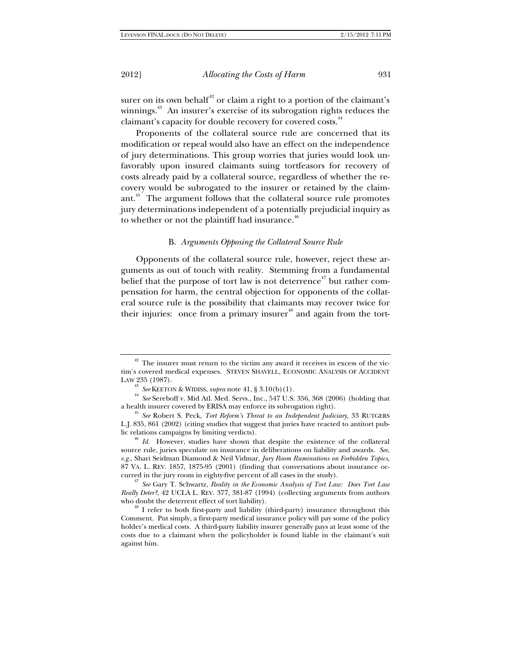surer on its own behalf $42$  or claim a right to a portion of the claimant's winnings.<sup>43</sup> An insurer's exercise of its subrogation rights reduces the claimant's capacity for double recovery for covered costs.<sup>44</sup>

Proponents of the collateral source rule are concerned that its modification or repeal would also have an effect on the independence of jury determinations. This group worries that juries would look unfavorably upon insured claimants suing tortfeasors for recovery of costs already paid by a collateral source, regardless of whether the recovery would be subrogated to the insurer or retained by the claimant.45 The argument follows that the collateral source rule promotes jury determinations independent of a potentially prejudicial inquiry as to whether or not the plaintiff had insurance. $46$ 

#### B. *Arguments Opposing the Collateral Source Rule*

Opponents of the collateral source rule, however, reject these arguments as out of touch with reality. Stemming from a fundamental belief that the purpose of tort law is not deterrence<sup> $47$ </sup> but rather compensation for harm, the central objection for opponents of the collateral source rule is the possibility that claimants may recover twice for their injuries: once from a primary insurer<sup>48</sup> and again from the tort-

 $42$  The insurer must return to the victim any award it receives in excess of the victim's covered medical expenses. STEVEN SHAVELL, ECONOMIC ANALYSIS OF ACCIDENT LAW 235 (1987).<br><sup>43</sup> See KEETON & WIDISS, *supra* note 41, § 3.10(b)(1).

<sup>&</sup>lt;sup>44</sup> *See* Sereboff v. Mid Atl. Med. Servs., Inc., 547 U.S. 356, 368 (2006) (holding that a health insurer covered by ERISA may enforce its subrogation right).

<sup>&</sup>lt;sup>45</sup> See Robert S. Peck, *Tort Reform's Threat to an Independent Judiciary*, 33 RUTGERS L.J. 835, 861 (2002) (citing studies that suggest that juries have reacted to antitort public relations campaigns by limiting verdicts). 46 *Id.* However, studies have shown that despite the existence of the collateral

source rule, juries speculate on insurance in deliberations on liability and awards. *See, e.g.*, Shari Seidman Diamond & Neil Vidmar, *Jury Room Ruminations on Forbidden Topics*, 87 VA. L. REV. 1857, 1875-95 (2001) (finding that conversations about insurance occurred in the jury room in eighty-five percent of all cases in the study). 47 *See* Gary T. Schwartz, *Reality in the Economic Analysis of Tort Law: Does Tort Law* 

*Really Deter?*, 42 UCLA L. REV. 377, 381-87 (1994) (collecting arguments from authors

 $48$  I refer to both first-party and liability (third-party) insurance throughout this Comment. Put simply, a first-party medical insurance policy will pay some of the policy holder's medical costs. A third-party liability insurer generally pays at least some of the costs due to a claimant when the policyholder is found liable in the claimant's suit against him.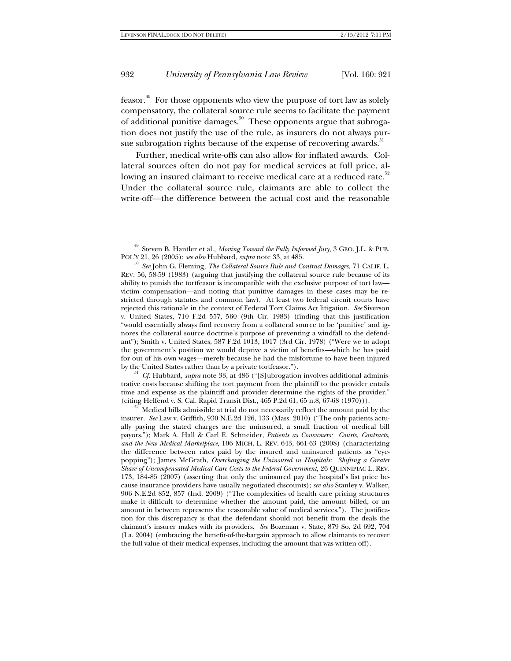feasor.49 For those opponents who view the purpose of tort law as solely compensatory, the collateral source rule seems to facilitate the payment of additional punitive damages.50 These opponents argue that subrogation does not justify the use of the rule, as insurers do not always pursue subrogation rights because of the expense of recovering awards. $^{\rm 51}$ 

Further, medical write-offs can also allow for inflated awards. Collateral sources often do not pay for medical services at full price, allowing an insured claimant to receive medical care at a reduced rate.<sup>52</sup> Under the collateral source rule, claimants are able to collect the write-off—the difference between the actual cost and the reasonable

by the United States rather than by a private tortfeasor."). 51 *Cf.* Hubbard, *supra* note 33, at 486 ("[S]ubrogation involves additional administrative costs because shifting the tort payment from the plaintiff to the provider entails time and expense as the plaintiff and provider determine the rights of the provider." (citing Helfend v. S. Cal. Rapid Transit Dist., 465 P.2d 61, 65 n.8, 67-68 (1970))).<br><sup>52</sup> Medical bills admissible at trial do not necessarily reflect the amount paid by the

insurer. *See* Law v. Griffith, 930 N.E.2d 126, 133 (Mass. 2010) ("The only patients actually paying the stated charges are the uninsured, a small fraction of medical bill payors."); Mark A. Hall & Carl E. Schneider, *Patients as Consumers: Courts, Contracts, and the New Medical Marketplace*, 106 MICH. L. REV. 643, 661-63 (2008) (characterizing the difference between rates paid by the insured and uninsured patients as "eyepopping"); James McGrath, *Overcharging the Uninsured in Hospitals: Shifting a Greater Share of Uncompensated Medical Care Costs to the Federal Government*, 26 QUINNIPIAC L. REV. 173, 184-85 (2007) (asserting that only the uninsured pay the hospital's list price because insurance providers have usually negotiated discounts); *see also* Stanley v. Walker, 906 N.E.2d 852, 857 (Ind. 2009) ("The complexities of health care pricing structures make it difficult to determine whether the amount paid, the amount billed, or an amount in between represents the reasonable value of medical services."). The justification for this discrepancy is that the defendant should not benefit from the deals the claimant's insurer makes with its providers. *See* Bozeman v. State, 879 So. 2d 692, 704 (La. 2004) (embracing the benefit-of-the-bargain approach to allow claimants to recover the full value of their medical expenses, including the amount that was written off).

<sup>49</sup> Steven B. Hantler et al., *Moving Toward the Fully Informed Jury*, 3 GEO. J.L. & PUB.

POL'Y 21, 26 (2005); *see also* Hubbard, *supra* note 33, at 485. 50 *See* John G. Fleming, *The Collateral Source Rule and Contract Damages*, 71 CALIF. L. REV. 56, 58-59 (1983) (arguing that justifying the collateral source rule because of its ability to punish the tortfeasor is incompatible with the exclusive purpose of tort law victim compensation—and noting that punitive damages in these cases may be restricted through statutes and common law). At least two federal circuit courts have rejected this rationale in the context of Federal Tort Claims Act litigation. *See* Siverson v. United States, 710 F.2d 557, 560 (9th Cir. 1983) (finding that this justification "would essentially always find recovery from a collateral source to be 'punitive' and ignores the collateral source doctrine's purpose of preventing a windfall to the defendant"); Smith v. United States, 587 F.2d 1013, 1017 (3rd Cir. 1978) ("Were we to adopt the government's position we would deprive a victim of benefits—which he has paid for out of his own wages—merely because he had the misfortune to have been injured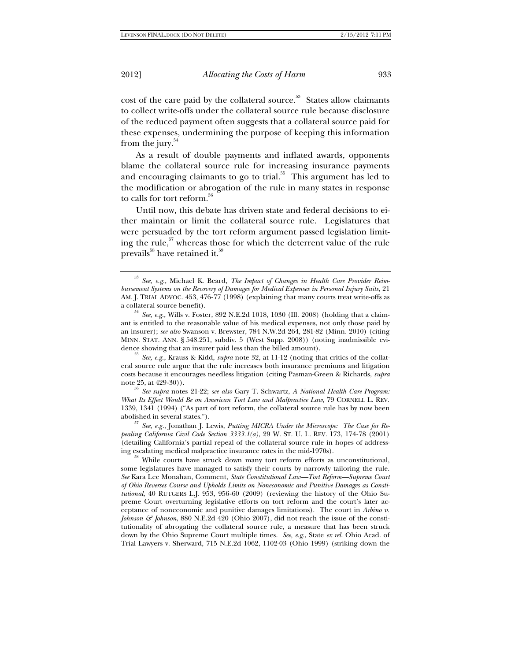cost of the care paid by the collateral source.<sup>53</sup> States allow claimants to collect write-offs under the collateral source rule because disclosure of the reduced payment often suggests that a collateral source paid for these expenses, undermining the purpose of keeping this information from the jury. $54$ 

As a result of double payments and inflated awards, opponents blame the collateral source rule for increasing insurance payments and encouraging claimants to go to trial.<sup>55</sup> This argument has led to the modification or abrogation of the rule in many states in response to calls for tort reform.<sup>56</sup>

Until now, this debate has driven state and federal decisions to either maintain or limit the collateral source rule. Legislatures that were persuaded by the tort reform argument passed legislation limiting the rule, $57$  whereas those for which the deterrent value of the rule prevails<sup>58</sup> have retained it.<sup>59</sup>

<sup>53</sup> *See, e.g.*, Michael K. Beard, *The Impact of Changes in Health Care Provider Reimbursement Systems on the Recovery of Damages for Medical Expenses in Personal Injury Suits*, 21 AM. J. TRIAL ADVOC. 453, 476-77 (1998) (explaining that many courts treat write-offs as

a collateral source benefit).  $^{54}$  *See, e.g.*, Wills v. Foster, 892 N.E.2d 1018, 1030 (Ill. 2008) (holding that a claimant is entitled to the reasonable value of his medical expenses, not only those paid by an insurer); *see also* Swanson v. Brewster, 784 N.W.2d 264, 281-82 (Minn. 2010) (citing MINN. STAT. ANN. § 548.251, subdiv. 5 (West Supp. 2008)) (noting inadmissible evi-

<sup>&</sup>lt;sup>55</sup> See, e.g., Krauss & Kidd, *supra* note 32, at 11-12 (noting that critics of the collateral source rule argue that the rule increases both insurance premiums and litigation costs because it encourages needless litigation (citing Pasman-Green & Richards, *supra*

note 25, at 429-30)). 56 *See supra* notes 21-22; *see also* Gary T. Schwartz, *A National Health Care Program: What Its Effect Would Be on American Tort Law and Malpractice Law*, 79 CORNELL L. REV. 1339, 1341 (1994) ("As part of tort reform, the collateral source rule has by now been abolished in several states."). 57 *See, e.g.*, Jonathan J. Lewis, *Putting MICRA Under the Microscope: The Case for Re-*

*pealing California Civil Code Section 3333.1(a)*, 29 W. ST. U. L. REV. 173, 174-78 (2001) (detailing California's partial repeal of the collateral source rule in hopes of addressing escalating medical malpractice insurance rates in the mid-1970s).  $$^{58}$  While courts have struck down many tort reform efforts as unconstitutional,

some legislatures have managed to satisfy their courts by narrowly tailoring the rule. *See* Kara Lee Monahan, Comment, *State Constitutional Law—Tort Reform—Supreme Court of Ohio Reverses Course and Upholds Limits on Noneconomic and Punitive Damages as Constitutional*, 40 RUTGERS L.J. 953, 956-60 (2009) (reviewing the history of the Ohio Supreme Court overturning legislative efforts on tort reform and the court's later acceptance of noneconomic and punitive damages limitations). The court in *Arbino v. Johnson & Johnson*, 880 N.E.2d 420 (Ohio 2007), did not reach the issue of the constitutionality of abrogating the collateral source rule, a measure that has been struck down by the Ohio Supreme Court multiple times. *See, e.g.*, State *ex rel.* Ohio Acad. of Trial Lawyers v. Sherward, 715 N.E.2d 1062, 1102-03 (Ohio 1999) (striking down the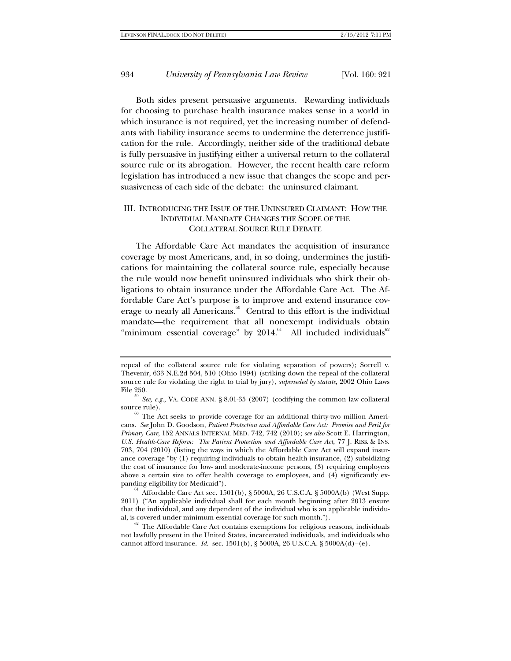Both sides present persuasive arguments. Rewarding individuals for choosing to purchase health insurance makes sense in a world in which insurance is not required, yet the increasing number of defendants with liability insurance seems to undermine the deterrence justification for the rule. Accordingly, neither side of the traditional debate is fully persuasive in justifying either a universal return to the collateral source rule or its abrogation. However, the recent health care reform legislation has introduced a new issue that changes the scope and persuasiveness of each side of the debate: the uninsured claimant.

### III. INTRODUCING THE ISSUE OF THE UNINSURED CLAIMANT: HOW THE INDIVIDUAL MANDATE CHANGES THE SCOPE OF THE COLLATERAL SOURCE RULE DEBATE

The Affordable Care Act mandates the acquisition of insurance coverage by most Americans, and, in so doing, undermines the justifications for maintaining the collateral source rule, especially because the rule would now benefit uninsured individuals who shirk their obligations to obtain insurance under the Affordable Care Act. The Affordable Care Act's purpose is to improve and extend insurance coverage to nearly all Americans.<sup>60</sup> Central to this effort is the individual mandate—the requirement that all nonexempt individuals obtain "minimum essential coverage" by  $2014$ .<sup>61</sup> All included individuals<sup>62</sup>

repeal of the collateral source rule for violating separation of powers); Sorrell v. Thevenir, 633 N.E.2d 504, 510 (Ohio 1994) (striking down the repeal of the collateral source rule for violating the right to trial by jury), *superseded by statute*, 2002 Ohio Laws

File 250. 59 *See, e.g.*, VA. CODE ANN. § 8.01-35 (2007) (codifying the common law collateral

source rule).<br><sup>60</sup> The Act seeks to provide coverage for an additional thirty-two million Americans. *See* John D. Goodson, *Patient Protection and Affordable Care Act: Promise and Peril for Primary Care*, 152 ANNALS INTERNAL MED. 742, 742 (2010); *see also* Scott E. Harrington, *U.S. Health-Care Reform: The Patient Protection and Affordable Care Act*, 77 J. RISK & INS. 703, 704 (2010) (listing the ways in which the Affordable Care Act will expand insurance coverage "by (1) requiring individuals to obtain health insurance, (2) subsidizing the cost of insurance for low- and moderate-income persons, (3) requiring employers above a certain size to offer health coverage to employees, and (4) significantly ex-

panding eligibility for Medicaid"). 61 Affordable Care Act sec. 1501(b), § 5000A, 26 U.S.C.A. § 5000A(b) (West Supp. 2011) ("An applicable individual shall for each month beginning after 2013 ensure that the individual, and any dependent of the individual who is an applicable individu-

 $a^{62}$  The Affordable Care Act contains exemptions for religious reasons, individuals not lawfully present in the United States, incarcerated individuals, and individuals who cannot afford insurance. *Id.* sec.  $1501(b)$ ,  $\S 5000A$ ,  $26$  U.S.C.A.  $\S 5000A(d) - (e)$ .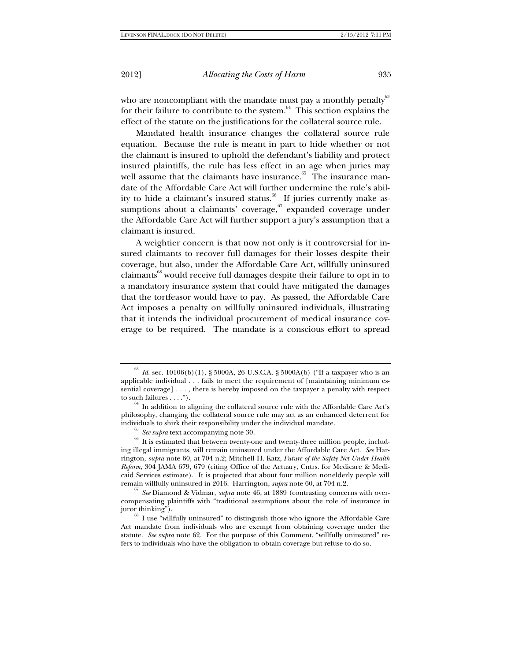who are noncompliant with the mandate must pay a monthly penalty<sup>63</sup> for their failure to contribute to the system.<sup>64</sup> This section explains the effect of the statute on the justifications for the collateral source rule.

Mandated health insurance changes the collateral source rule equation. Because the rule is meant in part to hide whether or not the claimant is insured to uphold the defendant's liability and protect insured plaintiffs, the rule has less effect in an age when juries may well assume that the claimants have insurance.<sup>65</sup> The insurance mandate of the Affordable Care Act will further undermine the rule's ability to hide a claimant's insured status. $^{66}$  If juries currently make assumptions about a claimants' coverage,  $\overline{5}$  expanded coverage under the Affordable Care Act will further support a jury's assumption that a claimant is insured.

A weightier concern is that now not only is it controversial for insured claimants to recover full damages for their losses despite their coverage, but also, under the Affordable Care Act, willfully uninsured claimants<sup>68</sup> would receive full damages despite their failure to opt in to a mandatory insurance system that could have mitigated the damages that the tortfeasor would have to pay. As passed, the Affordable Care Act imposes a penalty on willfully uninsured individuals, illustrating that it intends the individual procurement of medical insurance coverage to be required. The mandate is a conscious effort to spread

 $^{63}$   $\emph{Id.}$  sec. 10106(b)(1), § 5000A, 26 U.S.C.A. § 5000A(b) ("If a taxpayer who is an applicable individual . . . fails to meet the requirement of [maintaining minimum essential coverage]  $\dots$ , there is hereby imposed on the taxpayer a penalty with respect to such failures  $\dots$ .

 $t<sup>64</sup>$  In addition to aligning the collateral source rule with the Affordable Care Act's philosophy, changing the collateral source rule may act as an enhanced deterrent for

individuals to shirk their responsibility under the individual mandate.<br><sup>65</sup> *See supra* text accompanying note 30.<br><sup>66</sup> It is estimated that between twenty-one and twenty-three million people, including illegal immigrants, will remain uninsured under the Affordable Care Act. *See* Harrington, *supra* note 60, at 704 n.2; Mitchell H. Katz, *Future of the Safety Net Under Health Reform*, 304 JAMA 679, 679 (citing Office of the Actuary, Cntrs. for Medicare & Medicaid Services estimate). It is projected that about four million nonelderly people will remain willfully uninsured in 2016. Harrington, *supra* note 60, at 704 n.2.

 $\frac{67}{3}$  See Diamond & Vidmar, *supra* note 46, at 1889 (contrasting concerns with overcompensating plaintiffs with "traditional assumptions about the role of insurance in

juror thinking").<br><sup>68</sup> I use "willfully uninsured" to distinguish those who ignore the Affordable Care Act mandate from individuals who are exempt from obtaining coverage under the statute. *See supra* note 62. For the purpose of this Comment, "willfully uninsured" refers to individuals who have the obligation to obtain coverage but refuse to do so.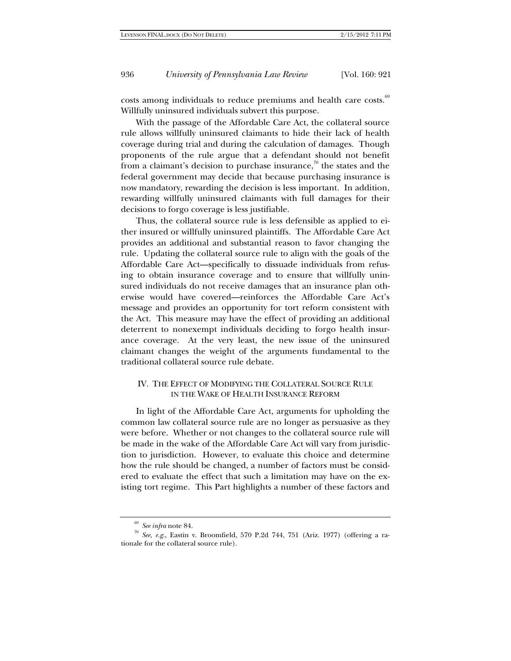costs among individuals to reduce premiums and health care costs.<sup>69</sup> Willfully uninsured individuals subvert this purpose.

With the passage of the Affordable Care Act, the collateral source rule allows willfully uninsured claimants to hide their lack of health coverage during trial and during the calculation of damages. Though proponents of the rule argue that a defendant should not benefit from a claimant's decision to purchase insurance, $\bar{p}$  the states and the federal government may decide that because purchasing insurance is now mandatory, rewarding the decision is less important. In addition, rewarding willfully uninsured claimants with full damages for their decisions to forgo coverage is less justifiable.

Thus, the collateral source rule is less defensible as applied to either insured or willfully uninsured plaintiffs. The Affordable Care Act provides an additional and substantial reason to favor changing the rule. Updating the collateral source rule to align with the goals of the Affordable Care Act—specifically to dissuade individuals from refusing to obtain insurance coverage and to ensure that willfully uninsured individuals do not receive damages that an insurance plan otherwise would have covered—reinforces the Affordable Care Act's message and provides an opportunity for tort reform consistent with the Act. This measure may have the effect of providing an additional deterrent to nonexempt individuals deciding to forgo health insurance coverage. At the very least, the new issue of the uninsured claimant changes the weight of the arguments fundamental to the traditional collateral source rule debate.

### IV. THE EFFECT OF MODIFYING THE COLLATERAL SOURCE RULE IN THE WAKE OF HEALTH INSURANCE REFORM

In light of the Affordable Care Act, arguments for upholding the common law collateral source rule are no longer as persuasive as they were before. Whether or not changes to the collateral source rule will be made in the wake of the Affordable Care Act will vary from jurisdiction to jurisdiction. However, to evaluate this choice and determine how the rule should be changed, a number of factors must be considered to evaluate the effect that such a limitation may have on the existing tort regime. This Part highlights a number of these factors and

<sup>69</sup> *See infra* note 84. 70 *See, e.g.*, Eastin v. Broomfield, 570 P.2d 744, 751 (Ariz. 1977) (offering a rationale for the collateral source rule).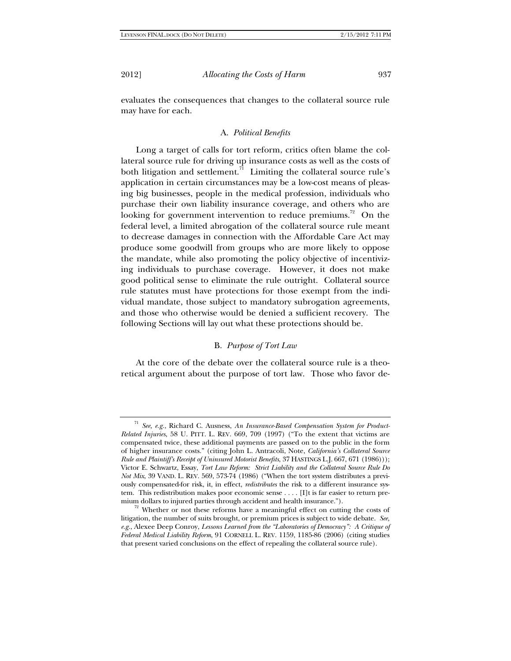evaluates the consequences that changes to the collateral source rule may have for each.

#### A. *Political Benefits*

Long a target of calls for tort reform, critics often blame the collateral source rule for driving up insurance costs as well as the costs of both litigation and settlement.<sup>71</sup> Limiting the collateral source rule's application in certain circumstances may be a low-cost means of pleasing big businesses, people in the medical profession, individuals who purchase their own liability insurance coverage, and others who are looking for government intervention to reduce premiums.<sup>72</sup> On the federal level, a limited abrogation of the collateral source rule meant to decrease damages in connection with the Affordable Care Act may produce some goodwill from groups who are more likely to oppose the mandate, while also promoting the policy objective of incentivizing individuals to purchase coverage. However, it does not make good political sense to eliminate the rule outright. Collateral source rule statutes must have protections for those exempt from the individual mandate, those subject to mandatory subrogation agreements, and those who otherwise would be denied a sufficient recovery. The following Sections will lay out what these protections should be.

#### B. *Purpose of Tort Law*

At the core of the debate over the collateral source rule is a theoretical argument about the purpose of tort law. Those who favor de-

See, e.g., Richard C. Ausness, *An Insurance-Based Compensation System for Product-Related Injuries*, 58 U. PITT. L. REV. 669, 709 (1997) ("To the extent that victims are compensated twice, these additional payments are passed on to the public in the form of higher insurance costs." (citing John L. Antracoli, Note, *California's Collateral Source Rule and Plaintiff's Receipt of Uninsured Motorist Benefits*, 37 HASTINGS L.J. 667, 671 (1986))); Victor E. Schwartz, Essay, *Tort Law Reform: Strict Liability and the Collateral Source Rule Do Not Mix*, 39 VAND. L. REV. 569, 573-74 (1986) ("When the tort system distributes a previously compensated-for risk, it, in effect, *redistributes* the risk to a different insurance system. This redistribution makes poor economic sense . . . . [I]t is far easier to return pre-

mium dollars to injured parties through accident and health insurance."). <sup>72</sup> Whether or not these reforms have a meaningful effect on cutting the costs of litigation, the number of suits brought, or premium prices is subject to wide debate. *See, e.g.*, Alexee Deep Conroy, *Lessons Learned from the "Laboratories of Democracy": A Critique of Federal Medical Liability Reform*, 91 CORNELL L. REV. 1159, 1185-86 (2006) (citing studies that present varied conclusions on the effect of repealing the collateral source rule).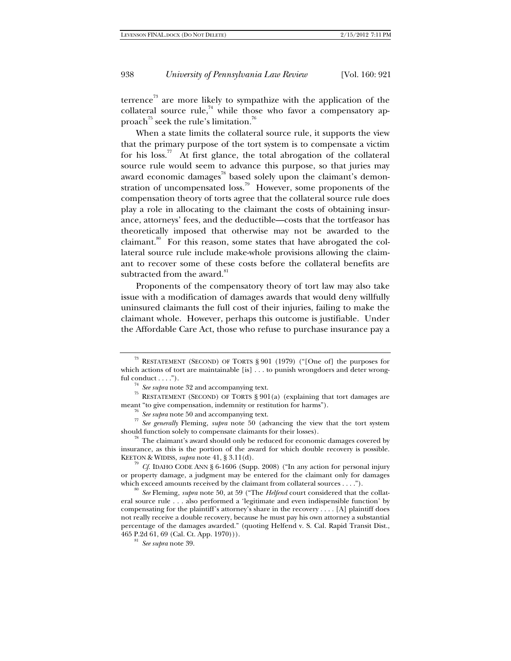terrence<sup>73</sup> are more likely to sympathize with the application of the collateral source rule, $74$  while those who favor a compensatory approach<sup>75</sup> seek the rule's limitation.<sup>76</sup>

When a state limits the collateral source rule, it supports the view that the primary purpose of the tort system is to compensate a victim for his  $\cos$ .<sup>77</sup> At first glance, the total abrogation of the collateral source rule would seem to advance this purpose, so that juries may award economic damages $^{78}$  based solely upon the claimant's demonstration of uncompensated loss.<sup>79</sup> However, some proponents of the compensation theory of torts agree that the collateral source rule does play a role in allocating to the claimant the costs of obtaining insurance, attorneys' fees, and the deductible—costs that the tortfeasor has theoretically imposed that otherwise may not be awarded to the claimant.<sup>80</sup> For this reason, some states that have abrogated the collateral source rule include make-whole provisions allowing the claimant to recover some of these costs before the collateral benefits are subtracted from the award.<sup>81</sup>

Proponents of the compensatory theory of tort law may also take issue with a modification of damages awards that would deny willfully uninsured claimants the full cost of their injuries, failing to make the claimant whole. However, perhaps this outcome is justifiable. Under the Affordable Care Act, those who refuse to purchase insurance pay a

<sup>73</sup> RESTATEMENT (SECOND) OF TORTS § 901 (1979) ("[One of] the purposes for which actions of tort are maintainable [is] . . . to punish wrongdoers and deter wrongful conduct . . . .").<br><sup>74</sup> *See supra* note 32 and accompanying text.<br><sup>75</sup> RESTATEMENT (SECOND) OF TORTS § 901(a) (explaining that tort damages are

meant "to give compensation, indemnity or restitution for harms").<br>
<sup>76</sup> See supra note 50 and accompanying text.<br>
<sup>77</sup> See generally Fleming, *supra* note 50 (advancing the view that the tort system should function solel

 $\frac{78}{10}$  The claimant's award should only be reduced for economic damages covered by insurance, as this is the portion of the award for which double recovery is possible. KEETON & WIDISS, *supra* note 41, § 3.11(d).<br><sup>79</sup> *Cf.* IDAHO CODE ANN § 6-1606 (Supp. 2008) ("In any action for personal injury

or property damage, a judgment may be entered for the claimant only for damages which exceed amounts received by the claimant from collateral sources . . . .").

<sup>&</sup>lt;sup>80</sup> See Fleming, *supra* note 50, at 59 ("The *Helfend* court considered that the collateral source rule . . . also performed a 'legitimate and even indispensible function' by compensating for the plaintiff's attorney's share in the recovery . . . . [A] plaintiff does not really receive a double recovery, because he must pay his own attorney a substantial percentage of the damages awarded." (quoting Helfend v. S. Cal. Rapid Transit Dist., 465 P.2d 61, 69 (Cal. Ct. App. 1970))). 81 *See supra* note 39.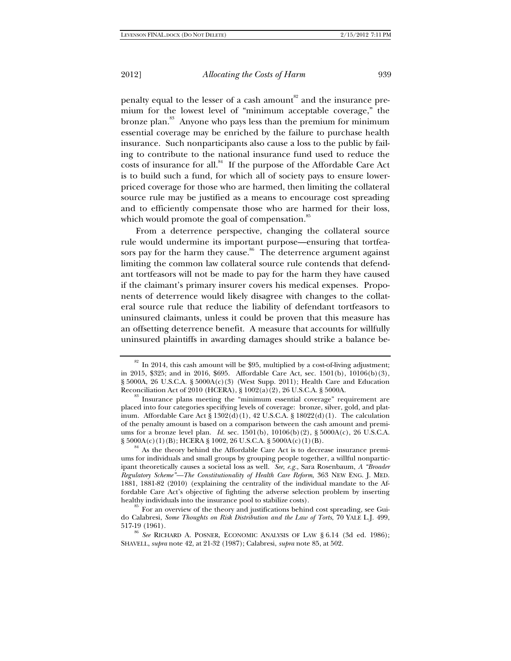penalty equal to the lesser of a cash amount<sup>82</sup> and the insurance premium for the lowest level of "minimum acceptable coverage," the bronze plan.<sup>83</sup> Anyone who pays less than the premium for minimum essential coverage may be enriched by the failure to purchase health insurance. Such nonparticipants also cause a loss to the public by failing to contribute to the national insurance fund used to reduce the costs of insurance for all.<sup>84</sup> If the purpose of the Affordable Care Act is to build such a fund, for which all of society pays to ensure lowerpriced coverage for those who are harmed, then limiting the collateral source rule may be justified as a means to encourage cost spreading and to efficiently compensate those who are harmed for their loss, which would promote the goal of compensation.<sup>85</sup>

From a deterrence perspective, changing the collateral source rule would undermine its important purpose—ensuring that tortfeasors pay for the harm they cause.<sup>86</sup> The deterrence argument against limiting the common law collateral source rule contends that defendant tortfeasors will not be made to pay for the harm they have caused if the claimant's primary insurer covers his medical expenses. Proponents of deterrence would likely disagree with changes to the collateral source rule that reduce the liability of defendant tortfeasors to uninsured claimants, unless it could be proven that this measure has an offsetting deterrence benefit. A measure that accounts for willfully uninsured plaintiffs in awarding damages should strike a balance be-

 $82$  In 2014, this cash amount will be \$95, multiplied by a cost-of-living adjustment; in 2015, \$325; and in 2016, \$695. Affordable Care Act, sec. 1501(b), 10106(b)(3), § 5000A, 26 U.S.C.A. § 5000A(c)(3) (West Supp. 2011); Health Care and Education Reconciliation Act of 2010 (HCERA), § 1002(a)(2), 26 U.S.C.A. § 5000A. <sup>83</sup> Insurance plans meeting the "minimum essential coverage" requirement are

placed into four categories specifying levels of coverage: bronze, silver, gold, and platinum. Affordable Care Act  $\S 1302(d)(1)$ , 42 U.S.C.A.  $\S 18022(d)(1)$ . The calculation of the penalty amount is based on a comparison between the cash amount and premiums for a bronze level plan. *Id.* sec. 1501(b), 10106(b)(2), § 5000A(c), 26 U.S.C.A.  $\S$  5000A(c)(1)(B); HCERA § 1002, 26 U.S.C.A. § 5000A(c)(1)(B). <sup>84</sup> As the theory behind the Affordable Care Act is to decrease insurance premi-

ums for individuals and small groups by grouping people together, a willful nonparticipant theoretically causes a societal loss as well. *See, e.g.*, Sara Rosenbaum, *A "Broader Regulatory Scheme"—The Constitutionality of Health Care Reform*, 363 NEW ENG. J. MED. 1881, 1881-82 (2010) (explaining the centrality of the individual mandate to the Affordable Care Act's objective of fighting the adverse selection problem by inserting healthy individuals into the insurance pool to stabilize costs).<br><sup>85</sup> For an overview of the theory and justifications behind cost spreading, see Gui-

do Calabresi, *Some Thoughts on Risk Distribution and the Law of Torts*, 70 YALE L.J. 499,

<sup>517-19 (1961). 86</sup> *See* RICHARD A. POSNER, ECONOMIC ANALYSIS OF LAW § 6.14 (3d ed. 1986); SHAVELL, *supra* note 42, at 21-32 (1987); Calabresi, *supra* note 85, at 502.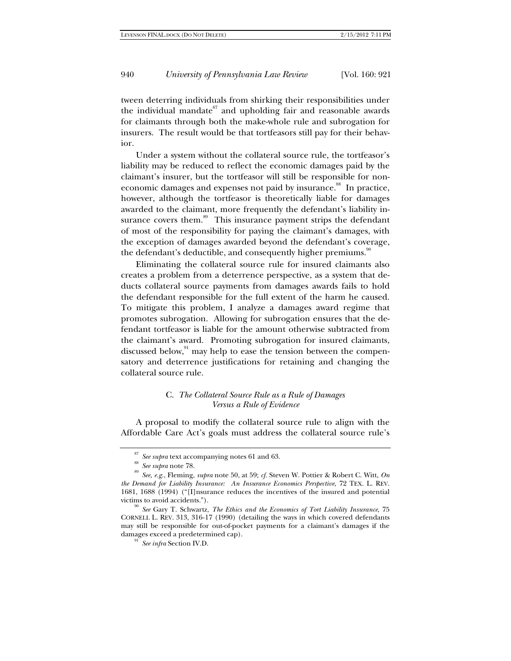tween deterring individuals from shirking their responsibilities under the individual mandate $^{87}$  and upholding fair and reasonable awards for claimants through both the make-whole rule and subrogation for insurers. The result would be that tortfeasors still pay for their behavior.

Under a system without the collateral source rule, the tortfeasor's liability may be reduced to reflect the economic damages paid by the claimant's insurer, but the tortfeasor will still be responsible for noneconomic damages and expenses not paid by insurance.<sup>88</sup> In practice, however, although the tortfeasor is theoretically liable for damages awarded to the claimant, more frequently the defendant's liability insurance covers them.<sup>89</sup> This insurance payment strips the defendant of most of the responsibility for paying the claimant's damages, with the exception of damages awarded beyond the defendant's coverage, the defendant's deductible, and consequently higher premiums.<sup>90</sup>

Eliminating the collateral source rule for insured claimants also creates a problem from a deterrence perspective, as a system that deducts collateral source payments from damages awards fails to hold the defendant responsible for the full extent of the harm he caused. To mitigate this problem, I analyze a damages award regime that promotes subrogation. Allowing for subrogation ensures that the defendant tortfeasor is liable for the amount otherwise subtracted from the claimant's award. Promoting subrogation for insured claimants, discussed below, $91$  may help to ease the tension between the compensatory and deterrence justifications for retaining and changing the collateral source rule.

### C. *The Collateral Source Rule as a Rule of Damages Versus a Rule of Evidence*

A proposal to modify the collateral source rule to align with the Affordable Care Act's goals must address the collateral source rule's

<sup>&</sup>lt;sup>87</sup> *See supra* text accompanying notes 61 and 63.<br><sup>88</sup> *See supra* note 78.<br><sup>89</sup> *See, e.g.*, Fleming, *supra* note 50, at 59; *cf.* Steven W. Pottier & Robert C. Witt, *On the Demand for Liability Insurance: An Insurance Economics Perspective*, 72 TEX. L. REV. 1681, 1688 (1994) ("[I]nsurance reduces the incentives of the insured and potential victims to avoid accidents."). 90 *See* Gary T. Schwartz, *The Ethics and the Economics of Tort Liability Insurance*, 75

CORNELL L. REV. 313, 316-17 (1990) (detailing the ways in which covered defendants may still be responsible for out-of-pocket payments for a claimant's damages if the damages exceed a predetermined cap).<br><sup>91</sup> *See infra* Section IV.D.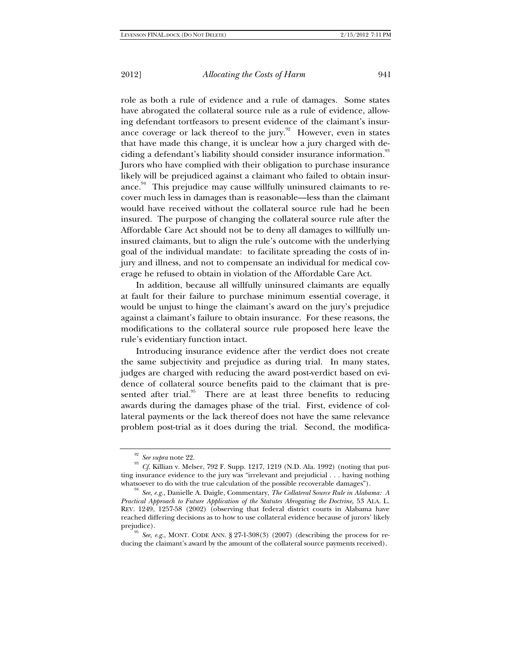role as both a rule of evidence and a rule of damages. Some states have abrogated the collateral source rule as a rule of evidence, allowing defendant tortfeasors to present evidence of the claimant's insurance coverage or lack thereof to the jury.<sup>92</sup> However, even in states that have made this change, it is unclear how a jury charged with deciding a defendant's liability should consider insurance information.<sup>93</sup> Jurors who have complied with their obligation to purchase insurance likely will be prejudiced against a claimant who failed to obtain insurance.<sup>94</sup> This prejudice may cause willfully uninsured claimants to recover much less in damages than is reasonable—less than the claimant would have received without the collateral source rule had he been insured. The purpose of changing the collateral source rule after the Affordable Care Act should not be to deny all damages to willfully uninsured claimants, but to align the rule's outcome with the underlying goal of the individual mandate: to facilitate spreading the costs of injury and illness, and not to compensate an individual for medical coverage he refused to obtain in violation of the Affordable Care Act.

In addition, because all willfully uninsured claimants are equally at fault for their failure to purchase minimum essential coverage, it would be unjust to hinge the claimant's award on the jury's prejudice against a claimant's failure to obtain insurance. For these reasons, the modifications to the collateral source rule proposed here leave the rule's evidentiary function intact.

Introducing insurance evidence after the verdict does not create the same subjectivity and prejudice as during trial. In many states, judges are charged with reducing the award post-verdict based on evidence of collateral source benefits paid to the claimant that is presented after trial.<sup>95</sup> There are at least three benefits to reducing awards during the damages phase of the trial. First, evidence of collateral payments or the lack thereof does not have the same relevance problem post-trial as it does during the trial. Second, the modifica-

<sup>92</sup> *See supra* note 22. 93 *Cf.* Killian v. Melser, 792 F. Supp. 1217, 1219 (N.D. Ala. 1992) (noting that putting insurance evidence to the jury was "irrelevant and prejudicial . . . having nothing whatsoever to do with the true calculation of the possible recoverable damages"). 94 *See, e.g.*, Danielle A. Daigle, Commentary, *The Collateral Source Rule in Alabama: A* 

*Practical Approach to Future Application of the Statutes Abrogating the Doctrine*, 53 ALA. L. REV. 1249, 1257-58 (2002) (observing that federal district courts in Alabama have reached differing decisions as to how to use collateral evidence because of jurors' likely

prejudice).<br><sup>95</sup> *See, e.g.*, MONT. CODE ANN. § 27-1-308(3) (2007) (describing the process for reducing the claimant's award by the amount of the collateral source payments received).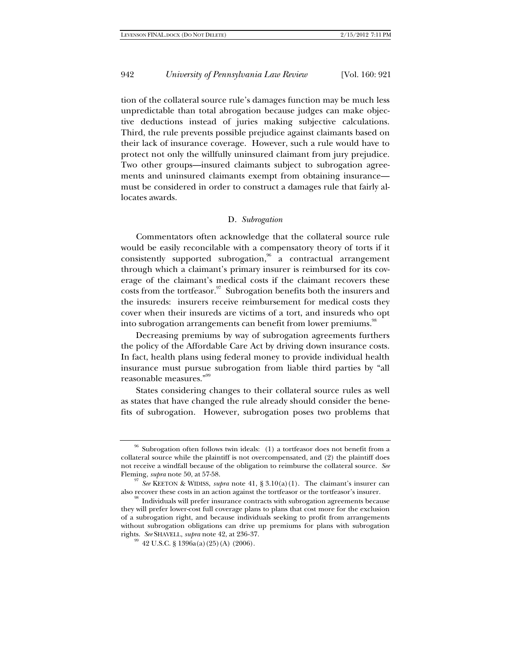tion of the collateral source rule's damages function may be much less unpredictable than total abrogation because judges can make objective deductions instead of juries making subjective calculations. Third, the rule prevents possible prejudice against claimants based on their lack of insurance coverage. However, such a rule would have to protect not only the willfully uninsured claimant from jury prejudice. Two other groups—insured claimants subject to subrogation agreements and uninsured claimants exempt from obtaining insurance must be considered in order to construct a damages rule that fairly allocates awards.

#### D. *Subrogation*

Commentators often acknowledge that the collateral source rule would be easily reconcilable with a compensatory theory of torts if it consistently supported subrogation, $6 \overline{a}$  contractual arrangement through which a claimant's primary insurer is reimbursed for its coverage of the claimant's medical costs if the claimant recovers these costs from the tortfeasor.<sup>97</sup> Subrogation benefits both the insurers and the insureds: insurers receive reimbursement for medical costs they cover when their insureds are victims of a tort, and insureds who opt into subrogation arrangements can benefit from lower premiums.<sup>98</sup>

Decreasing premiums by way of subrogation agreements furthers the policy of the Affordable Care Act by driving down insurance costs. In fact, health plans using federal money to provide individual health insurance must pursue subrogation from liable third parties by "all reasonable measures."99

States considering changes to their collateral source rules as well as states that have changed the rule already should consider the benefits of subrogation. However, subrogation poses two problems that

 $96$  Subrogation often follows twin ideals: (1) a tortfeasor does not benefit from a collateral source while the plaintiff is not overcompensated, and (2) the plaintiff does not receive a windfall because of the obligation to reimburse the collateral source. *See*

<sup>&</sup>lt;sup>97</sup> *See* KEETON & WIDISS, *supra* note 41, § 3.10(a)(1). The claimant's insurer can also recover these costs in an action against the tortfeasor or the tortfeasor's insurer.

 $^\mathrm{98}$  Individuals will prefer insurance contracts with subrogation agreements because they will prefer lower-cost full coverage plans to plans that cost more for the exclusion of a subrogation right, and because individuals seeking to profit from arrangements without subrogation obligations can drive up premiums for plans with subrogation rights. See SHAVELL, supra note 42, at 236-37.

<sup>&</sup>lt;sup>99</sup> 42 U.S.C. § 1396a(a)(25)(A) (2006).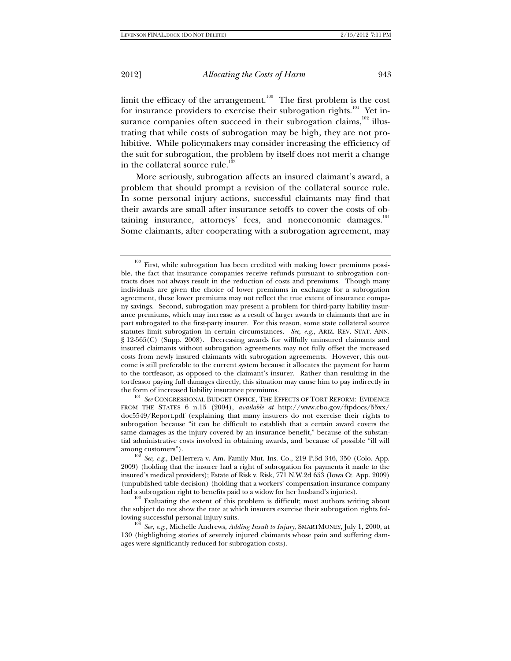limit the efficacy of the arrangement. $100$  The first problem is the cost for insurance providers to exercise their subrogation rights.<sup>101</sup> Yet insurance companies often succeed in their subrogation claims,<sup>102</sup> illustrating that while costs of subrogation may be high, they are not prohibitive. While policymakers may consider increasing the efficiency of the suit for subrogation, the problem by itself does not merit a change in the collateral source rule.<sup>103</sup>

More seriously, subrogation affects an insured claimant's award, a problem that should prompt a revision of the collateral source rule. In some personal injury actions, successful claimants may find that their awards are small after insurance setoffs to cover the costs of obtaining insurance, attorneys' fees, and noneconomic damages.<sup>104</sup> Some claimants, after cooperating with a subrogation agreement, may

First, while subrogation has been credited with making lower premiums possible, the fact that insurance companies receive refunds pursuant to subrogation contracts does not always result in the reduction of costs and premiums. Though many individuals are given the choice of lower premiums in exchange for a subrogation agreement, these lower premiums may not reflect the true extent of insurance company savings. Second, subrogation may present a problem for third-party liability insurance premiums, which may increase as a result of larger awards to claimants that are in part subrogated to the first-party insurer. For this reason, some state collateral source statutes limit subrogation in certain circumstances. *See, e.g.*, ARIZ. REV. STAT. ANN. § 12-565(C) (Supp. 2008). Decreasing awards for willfully uninsured claimants and insured claimants without subrogation agreements may not fully offset the increased costs from newly insured claimants with subrogation agreements. However, this outcome is still preferable to the current system because it allocates the payment for harm to the tortfeasor, as opposed to the claimant's insurer. Rather than resulting in the tortfeasor paying full damages directly, this situation may cause him to pay indirectly in the form of increased liability insurance premiums. 101 *See* CONGRESSIONAL BUDGET OFFICE, THE EFFECTS OF TORT REFORM: EVIDENCE

FROM THE STATES 6 n.15 (2004), *available at* http://www.cbo.gov/ftpdocs/55xx/ doc5549/Report.pdf (explaining that many insurers do not exercise their rights to subrogation because "it can be difficult to establish that a certain award covers the same damages as the injury covered by an insurance benefit," because of the substantial administrative costs involved in obtaining awards, and because of possible "ill will among customers").<br><sup>102</sup> *See, e.g.*, DeHerrera v. Am. Family Mut. Ins. Co., 219 P.3d 346, 350 (Colo. App.

<sup>2009) (</sup>holding that the insurer had a right of subrogation for payments it made to the insured's medical providers); Estate of Risk v. Risk, 771 N.W.2d 653 (Iowa Ct. App. 2009) (unpublished table decision) (holding that a workers' compensation insurance company

had a subrogation right to benefits paid to a widow for her husband's injuries).  $103$  Evaluating the extent of this problem is difficult; most authors writing about the subject do not show the rate at which insurers exercise their subrogation rights following successful personal injury suits.<br><sup>104</sup> *See, e.g.*, Michelle Andrews, *Adding Insult to Injury*, SMARTMONEY, July 1, 2000, at

<sup>130 (</sup>highlighting stories of severely injured claimants whose pain and suffering damages were significantly reduced for subrogation costs).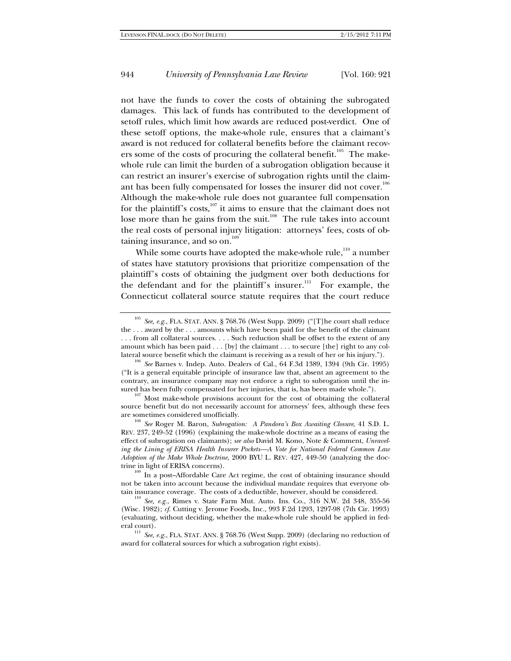not have the funds to cover the costs of obtaining the subrogated damages. This lack of funds has contributed to the development of setoff rules, which limit how awards are reduced post-verdict. One of these setoff options, the make-whole rule, ensures that a claimant's award is not reduced for collateral benefits before the claimant recovers some of the costs of procuring the collateral benefit.<sup>105</sup> The makewhole rule can limit the burden of a subrogation obligation because it can restrict an insurer's exercise of subrogation rights until the claimant has been fully compensated for losses the insurer did not cover. $^{106}$ Although the make-whole rule does not guarantee full compensation for the plaintiff's costs, $107$  it aims to ensure that the claimant does not lose more than he gains from the suit.<sup>108</sup> The rule takes into account the real costs of personal injury litigation: attorneys' fees, costs of obtaining insurance, and so on.<sup>109</sup>

While some courts have adopted the make-whole rule,<sup>110</sup> a number of states have statutory provisions that prioritize compensation of the plaintiff's costs of obtaining the judgment over both deductions for the defendant and for the plaintiff's insurer.<sup>111</sup> For example, the Connecticut collateral source statute requires that the court reduce

See, e.g., FLA. STAT. ANN. § 768.76 (West Supp. 2009) ("[T]he court shall reduce the . . . award by the . . . amounts which have been paid for the benefit of the claimant . . . from all collateral sources. . . . Such reduction shall be offset to the extent of any amount which has been paid . . . [by] the claimant . . . to secure [the] right to any collateral source benefit which the claimant is receiving as a result of her or his injury."). 106 *See* Barnes v. Indep. Auto. Dealers of Cal., 64 F.3d 1389, 1394 (9th Cir. 1995)

<sup>(&</sup>quot;It is a general equitable principle of insurance law that, absent an agreement to the contrary, an insurance company may not enforce a right to subrogation until the in-

 $107$  Most make-whole provisions account for the cost of obtaining the collateral source benefit but do not necessarily account for attorneys' fees, although these fees are sometimes considered unofficially.<br><sup>108</sup> *See* Roger M. Baron, *Subrogation: A Pandora's Box Awaiting Closure*, 41 S.D. L.

REV. 237, 249-52 (1996) (explaining the make-whole doctrine as a means of easing the effect of subrogation on claimants); *see also* David M. Kono, Note & Comment, *Unraveling the Lining of ERISA Health Insurer Pockets—A Vote for National Federal Common Law Adoption of the Make Whole Doctrine*, 2000 BYU L. REV. 427, 449-50 (analyzing the doctrine in light of ERISA concerns). 109 In a post–Affordable Care Act regime, the cost of obtaining insurance should

not be taken into account because the individual mandate requires that everyone obtain insurance coverage. The costs of a deductible, however, should be considered. 110 *See, e.g.*, Rimes v. State Farm Mut. Auto. Ins. Co., 316 N.W. 2d 348, 355-56

<sup>(</sup>Wisc. 1982); *cf.* Cutting v. Jerome Foods, Inc., 993 F.2d 1293, 1297-98 (7th Cir. 1993) (evaluating, without deciding, whether the make-whole rule should be applied in fed-

eral court).  $^{111}$   $\,See,\,e.g.,$  FLA. STAT. ANN. § 768.76 (West Supp. 2009) (declaring no reduction of award for collateral sources for which a subrogation right exists).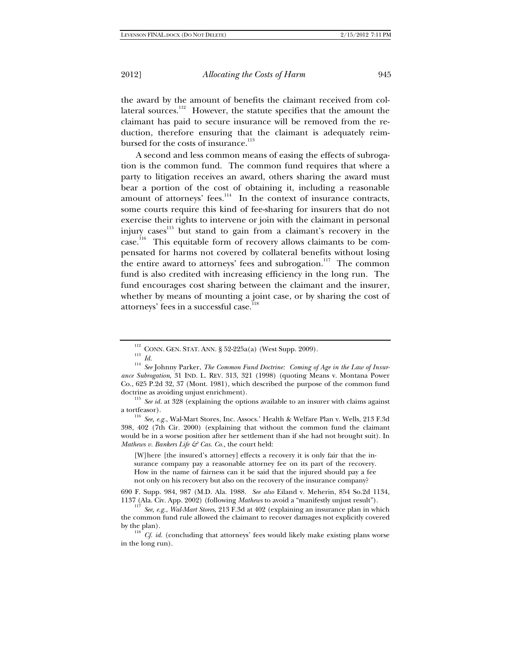the award by the amount of benefits the claimant received from collateral sources.<sup>112</sup> However, the statute specifies that the amount the claimant has paid to secure insurance will be removed from the reduction, therefore ensuring that the claimant is adequately reimbursed for the costs of insurance.<sup>113</sup>

A second and less common means of easing the effects of subrogation is the common fund. The common fund requires that where a party to litigation receives an award, others sharing the award must bear a portion of the cost of obtaining it, including a reasonable amount of attorneys' fees.<sup>114</sup> In the context of insurance contracts, some courts require this kind of fee-sharing for insurers that do not exercise their rights to intervene or join with the claimant in personal injury cases<sup>115</sup> but stand to gain from a claimant's recovery in the case.116 This equitable form of recovery allows claimants to be compensated for harms not covered by collateral benefits without losing the entire award to attorneys' fees and subrogation.<sup>117</sup> The common fund is also credited with increasing efficiency in the long run. The fund encourages cost sharing between the claimant and the insurer, whether by means of mounting a joint case, or by sharing the cost of attorneys' fees in a successful case.<sup>1</sup>

a tortfeasor). 116 *See, e.g.*, Wal-Mart Stores, Inc. Assocs.' Health & Welfare Plan v. Wells, 213 F.3d 398, 402 (7th Cir. 2000) (explaining that without the common fund the claimant would be in a worse position after her settlement than if she had not brought suit). In *Mathews v. Bankers Life & Cas. Co.,* the court held:

[W]here [the insured's attorney] effects a recovery it is only fair that the insurance company pay a reasonable attorney fee on its part of the recovery. How in the name of fairness can it be said that the injured should pay a fee not only on his recovery but also on the recovery of the insurance company?

690 F. Supp. 984, 987 (M.D. Ala. 1988. *See also* Eiland v. Meherin, 854 So.2d 1134, 1137 (Ala. Civ. App. 2002) (following *Mathews* to avoid a "manifestly unjust result"). 117 *See, e.g.*, *Wal-Mart Stores*, 213 F.3d at 402 (explaining an insurance plan in which

by the plan).  $^{118}$  *Cf. id.* (concluding that attorneys' fees would likely make existing plans worse in the long run).

 $^{112}_{113}$  CONN. GEN. STAT. ANN. § 52-225a(a) (West Supp. 2009).  $^{113}_{13}$ 

<sup>113</sup> *Id.* <sup>114</sup> *See* Johnny Parker, *The Common Fund Doctrine: Coming of Age in the Law of Insurance Subrogation*, 31 IND. L. REV. 313, 321 (1998) (quoting Means v. Montana Power Co., 625 P.2d 32, 37 (Mont. 1981), which described the purpose of the common fund doctrine as avoiding unjust enrichment). 115 *See id.* at 328 (explaining the options available to an insurer with claims against

the common fund rule allowed the claimant to recover damages not explicitly covered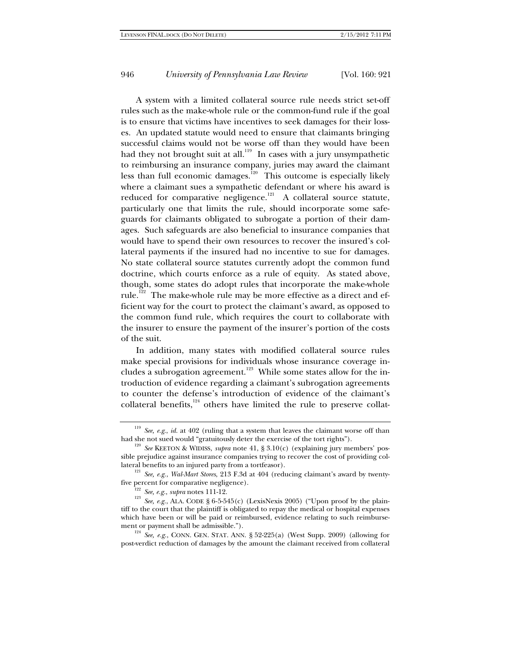A system with a limited collateral source rule needs strict set-off rules such as the make-whole rule or the common-fund rule if the goal is to ensure that victims have incentives to seek damages for their losses. An updated statute would need to ensure that claimants bringing successful claims would not be worse off than they would have been had they not brought suit at all.<sup>119</sup> In cases with a jury unsympathetic to reimbursing an insurance company, juries may award the claimant less than full economic damages.<sup>120</sup> This outcome is especially likely where a claimant sues a sympathetic defendant or where his award is reduced for comparative negligence.<sup>121</sup> A collateral source statute, particularly one that limits the rule, should incorporate some safeguards for claimants obligated to subrogate a portion of their damages. Such safeguards are also beneficial to insurance companies that would have to spend their own resources to recover the insured's collateral payments if the insured had no incentive to sue for damages. No state collateral source statutes currently adopt the common fund doctrine, which courts enforce as a rule of equity. As stated above, though, some states do adopt rules that incorporate the make-whole rule.<sup>122</sup> The make-whole rule may be more effective as a direct and efficient way for the court to protect the claimant's award, as opposed to the common fund rule, which requires the court to collaborate with the insurer to ensure the payment of the insurer's portion of the costs of the suit.

In addition, many states with modified collateral source rules make special provisions for individuals whose insurance coverage includes a subrogation agreement.<sup>123</sup> While some states allow for the introduction of evidence regarding a claimant's subrogation agreements to counter the defense's introduction of evidence of the claimant's collateral benefits, $124$  others have limited the rule to preserve collat-

<sup>&</sup>lt;sup>119</sup> *See, e.g., id.* at 402 (ruling that a system that leaves the claimant worse off than had she not sued would "gratuitously deter the exercise of the tort rights").

<sup>&</sup>lt;sup>120</sup> See KEETON & WIDISS, *supra* note 41, § 3.10(c) (explaining jury members' possible prejudice against insurance companies trying to recover the cost of providing col-

lateral benefits to an injured party from a tortfeasor).<br><sup>121</sup> *See, e.g., Wal-Mart Stores*, 213 F.3d at 404 (reducing claimant's award by twenty-<br>five percent for comparative negligence).

<sup>&</sup>lt;sup>122</sup> *See, e.g., supra* notes 111-12. <sup>123</sup> *See, e.g.*, *ALA.* CODE § 6-5-545(c) (LexisNexis 2005) ("Upon proof by the plaintiff to the court that the plaintiff is obligated to repay the medical or hospital expenses which have been or will be paid or reimbursed, evidence relating to such reimbursement or payment shall be admissible.").

 $\frac{124}{2}$  *See, e.g.*, CONN. GEN. STAT. ANN. § 52-225(a) (West Supp. 2009) (allowing for post-verdict reduction of damages by the amount the claimant received from collateral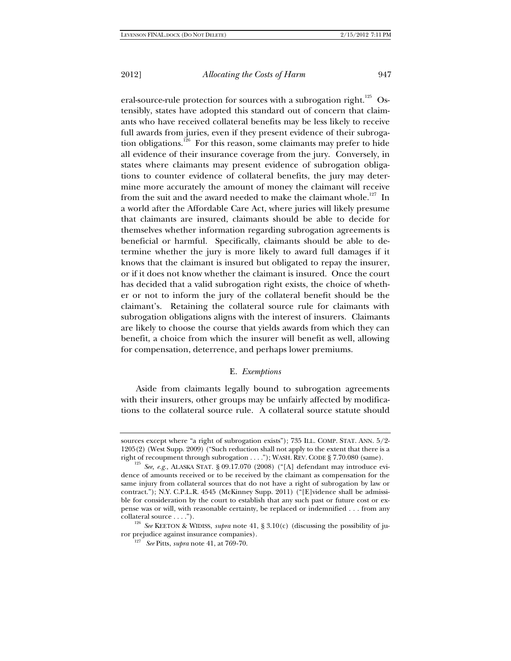eral-source-rule protection for sources with a subrogation right.<sup>125</sup> Ostensibly, states have adopted this standard out of concern that claimants who have received collateral benefits may be less likely to receive full awards from juries, even if they present evidence of their subrogation obligations.<sup>126</sup> For this reason, some claimants may prefer to hide all evidence of their insurance coverage from the jury. Conversely, in states where claimants may present evidence of subrogation obligations to counter evidence of collateral benefits, the jury may determine more accurately the amount of money the claimant will receive from the suit and the award needed to make the claimant whole.<sup>127</sup> In a world after the Affordable Care Act, where juries will likely presume that claimants are insured, claimants should be able to decide for themselves whether information regarding subrogation agreements is beneficial or harmful. Specifically, claimants should be able to determine whether the jury is more likely to award full damages if it knows that the claimant is insured but obligated to repay the insurer, or if it does not know whether the claimant is insured. Once the court has decided that a valid subrogation right exists, the choice of whether or not to inform the jury of the collateral benefit should be the claimant's. Retaining the collateral source rule for claimants with subrogation obligations aligns with the interest of insurers. Claimants are likely to choose the course that yields awards from which they can benefit, a choice from which the insurer will benefit as well, allowing for compensation, deterrence, and perhaps lower premiums.

### E. *Exemptions*

Aside from claimants legally bound to subrogation agreements with their insurers, other groups may be unfairly affected by modifications to the collateral source rule. A collateral source statute should

sources except where "a right of subrogation exists"); 735 ILL. COMP. STAT. ANN. 5/2- 1205(2) (West Supp. 2009) ("Such reduction shall not apply to the extent that there is a right of recoupment through subrogation . . . ."); WASH. REV. CODE § 7.70.080 (same).

<sup>&</sup>lt;sup>125</sup> *See, e.g.*, ALASKA STAT. § 09.17.070 (2008) ("[A] defendant may introduce evidence of amounts received or to be received by the claimant as compensation for the same injury from collateral sources that do not have a right of subrogation by law or contract."); N.Y. C.P.L.R. 4545 (McKinney Supp. 2011) ("[E]vidence shall be admissible for consideration by the court to establish that any such past or future cost or expense was or will, with reasonable certainty, be replaced or indemnified . . . from any collateral source . . . . ").

<sup>&</sup>lt;sup>126</sup> *See* KEETON & WIDISS, *supra* note 41, § 3.10(c) (discussing the possibility of ju-<br>ror prejudice against insurance companies).

<sup>&</sup>lt;sup>127</sup> *See* Pitts, *supra* note 41, at 769-70.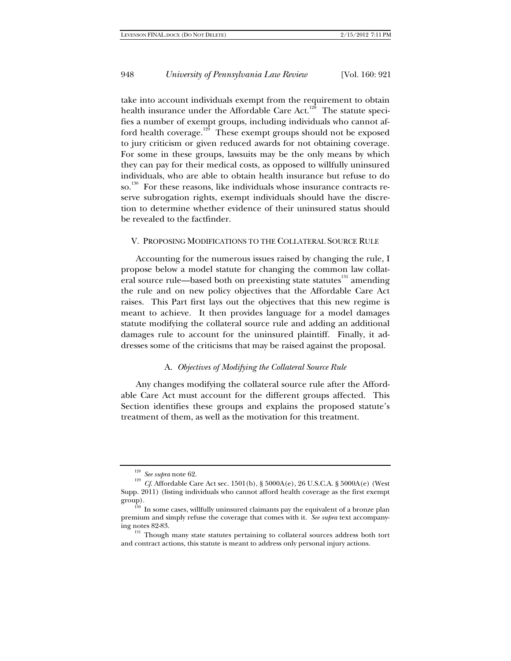take into account individuals exempt from the requirement to obtain health insurance under the Affordable Care Act.<sup>128</sup> The statute specifies a number of exempt groups, including individuals who cannot afford health coverage.<sup>129</sup> These exempt groups should not be exposed to jury criticism or given reduced awards for not obtaining coverage. For some in these groups, lawsuits may be the only means by which they can pay for their medical costs, as opposed to willfully uninsured individuals, who are able to obtain health insurance but refuse to do so.<sup>130</sup> For these reasons, like individuals whose insurance contracts reserve subrogation rights, exempt individuals should have the discretion to determine whether evidence of their uninsured status should be revealed to the factfinder.

### V. PROPOSING MODIFICATIONS TO THE COLLATERAL SOURCE RULE

Accounting for the numerous issues raised by changing the rule, I propose below a model statute for changing the common law collateral source rule—based both on preexisting state statutes<sup>131</sup> amending the rule and on new policy objectives that the Affordable Care Act raises. This Part first lays out the objectives that this new regime is meant to achieve. It then provides language for a model damages statute modifying the collateral source rule and adding an additional damages rule to account for the uninsured plaintiff. Finally, it addresses some of the criticisms that may be raised against the proposal.

#### A. *Objectives of Modifying the Collateral Source Rule*

Any changes modifying the collateral source rule after the Affordable Care Act must account for the different groups affected. This Section identifies these groups and explains the proposed statute's treatment of them, as well as the motivation for this treatment.

<sup>&</sup>lt;sup>128</sup> *See supra* note 62.<br><sup>129</sup> *Cf.* Affordable Care Act sec. 1501(b), § 5000A(e), 26 U.S.C.A. § 5000A(e) (West Supp. 2011) (listing individuals who cannot afford health coverage as the first exempt

group).<br> $130 \text{ In some cases, will fully uninsured claimants pay the equivalent of a bronze plan.}$ premium and simply refuse the coverage that comes with it. *See supra* text accompany-

ing notes 82-83.<br> $131$  Though many state statutes pertaining to collateral sources address both tort and contract actions, this statute is meant to address only personal injury actions.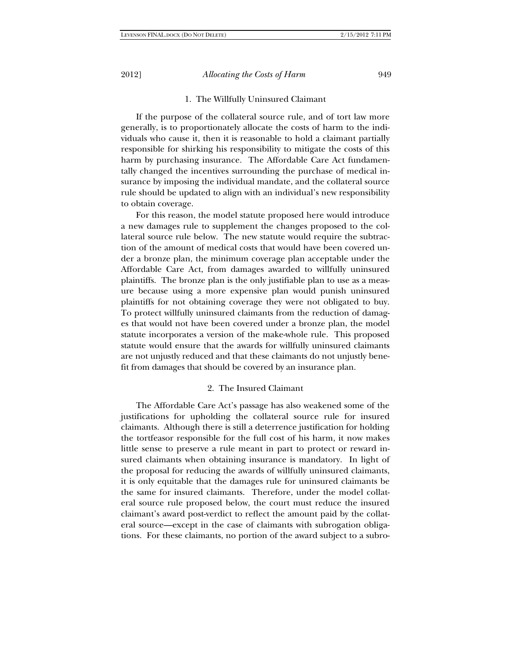#### 1. The Willfully Uninsured Claimant

If the purpose of the collateral source rule, and of tort law more generally, is to proportionately allocate the costs of harm to the individuals who cause it, then it is reasonable to hold a claimant partially responsible for shirking his responsibility to mitigate the costs of this harm by purchasing insurance. The Affordable Care Act fundamentally changed the incentives surrounding the purchase of medical insurance by imposing the individual mandate, and the collateral source rule should be updated to align with an individual's new responsibility to obtain coverage.

For this reason, the model statute proposed here would introduce a new damages rule to supplement the changes proposed to the collateral source rule below. The new statute would require the subtraction of the amount of medical costs that would have been covered under a bronze plan, the minimum coverage plan acceptable under the Affordable Care Act, from damages awarded to willfully uninsured plaintiffs. The bronze plan is the only justifiable plan to use as a measure because using a more expensive plan would punish uninsured plaintiffs for not obtaining coverage they were not obligated to buy. To protect willfully uninsured claimants from the reduction of damages that would not have been covered under a bronze plan, the model statute incorporates a version of the make-whole rule. This proposed statute would ensure that the awards for willfully uninsured claimants are not unjustly reduced and that these claimants do not unjustly benefit from damages that should be covered by an insurance plan.

### 2. The Insured Claimant

The Affordable Care Act's passage has also weakened some of the justifications for upholding the collateral source rule for insured claimants. Although there is still a deterrence justification for holding the tortfeasor responsible for the full cost of his harm, it now makes little sense to preserve a rule meant in part to protect or reward insured claimants when obtaining insurance is mandatory. In light of the proposal for reducing the awards of willfully uninsured claimants, it is only equitable that the damages rule for uninsured claimants be the same for insured claimants. Therefore, under the model collateral source rule proposed below, the court must reduce the insured claimant's award post-verdict to reflect the amount paid by the collateral source—except in the case of claimants with subrogation obligations. For these claimants, no portion of the award subject to a subro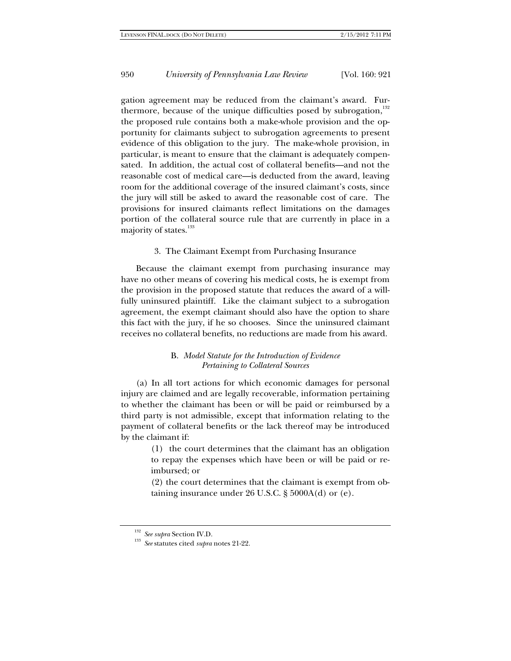gation agreement may be reduced from the claimant's award. Furthermore, because of the unique difficulties posed by subrogation,<sup>132</sup> the proposed rule contains both a make-whole provision and the opportunity for claimants subject to subrogation agreements to present evidence of this obligation to the jury. The make-whole provision, in particular, is meant to ensure that the claimant is adequately compensated. In addition, the actual cost of collateral benefits—and not the reasonable cost of medical care—is deducted from the award, leaving room for the additional coverage of the insured claimant's costs, since the jury will still be asked to award the reasonable cost of care. The provisions for insured claimants reflect limitations on the damages portion of the collateral source rule that are currently in place in a majority of states.<sup>133</sup>

3. The Claimant Exempt from Purchasing Insurance

Because the claimant exempt from purchasing insurance may have no other means of covering his medical costs, he is exempt from the provision in the proposed statute that reduces the award of a willfully uninsured plaintiff. Like the claimant subject to a subrogation agreement, the exempt claimant should also have the option to share this fact with the jury, if he so chooses. Since the uninsured claimant receives no collateral benefits, no reductions are made from his award.

### B. *Model Statute for the Introduction of Evidence Pertaining to Collateral Sources*

(a) In all tort actions for which economic damages for personal injury are claimed and are legally recoverable, information pertaining to whether the claimant has been or will be paid or reimbursed by a third party is not admissible, except that information relating to the payment of collateral benefits or the lack thereof may be introduced by the claimant if:

> (1) the court determines that the claimant has an obligation to repay the expenses which have been or will be paid or reimbursed; or

> (2) the court determines that the claimant is exempt from obtaining insurance under 26 U.S.C. § 5000A(d) or (e).

<sup>132</sup> *See supra* Section IV.D. 133 *See* statutes cited *supra* notes 21-22.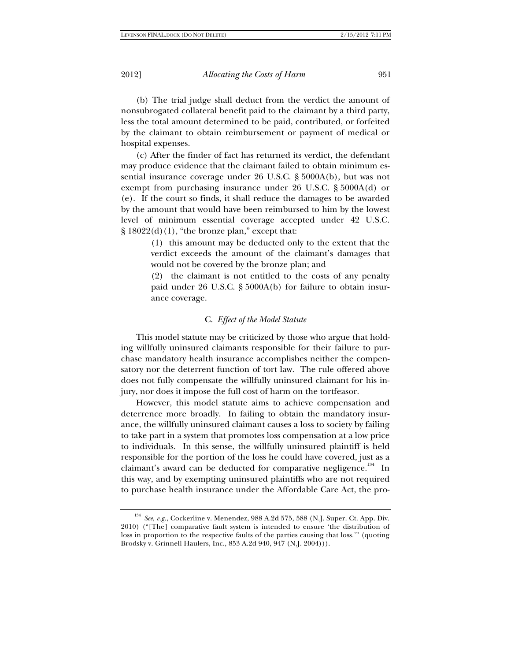(b) The trial judge shall deduct from the verdict the amount of nonsubrogated collateral benefit paid to the claimant by a third party, less the total amount determined to be paid, contributed, or forfeited by the claimant to obtain reimbursement or payment of medical or hospital expenses.

(c) After the finder of fact has returned its verdict, the defendant may produce evidence that the claimant failed to obtain minimum essential insurance coverage under 26 U.S.C. § 5000A(b), but was not exempt from purchasing insurance under 26 U.S.C. § 5000A(d) or (e). If the court so finds, it shall reduce the damages to be awarded by the amount that would have been reimbursed to him by the lowest level of minimum essential coverage accepted under 42 U.S.C.  $\S 18022(d)(1)$ , "the bronze plan," except that:

> (1) this amount may be deducted only to the extent that the verdict exceeds the amount of the claimant's damages that would not be covered by the bronze plan; and

> (2) the claimant is not entitled to the costs of any penalty paid under 26 U.S.C. § 5000A(b) for failure to obtain insurance coverage.

#### C. *Effect of the Model Statute*

This model statute may be criticized by those who argue that holding willfully uninsured claimants responsible for their failure to purchase mandatory health insurance accomplishes neither the compensatory nor the deterrent function of tort law. The rule offered above does not fully compensate the willfully uninsured claimant for his injury, nor does it impose the full cost of harm on the tortfeasor.

However, this model statute aims to achieve compensation and deterrence more broadly. In failing to obtain the mandatory insurance, the willfully uninsured claimant causes a loss to society by failing to take part in a system that promotes loss compensation at a low price to individuals. In this sense, the willfully uninsured plaintiff is held responsible for the portion of the loss he could have covered, just as a claimant's award can be deducted for comparative negligence.<sup>134</sup> In this way, and by exempting uninsured plaintiffs who are not required to purchase health insurance under the Affordable Care Act, the pro-

See, e.g., Cockerline v. Menendez, 988 A.2d 575, 588 (N.J. Super. Ct. App. Div. 2010) ("[The] comparative fault system is intended to ensure 'the distribution of loss in proportion to the respective faults of the parties causing that loss.'" (quoting Brodsky v. Grinnell Haulers, Inc., 853 A.2d 940, 947 (N.J. 2004))).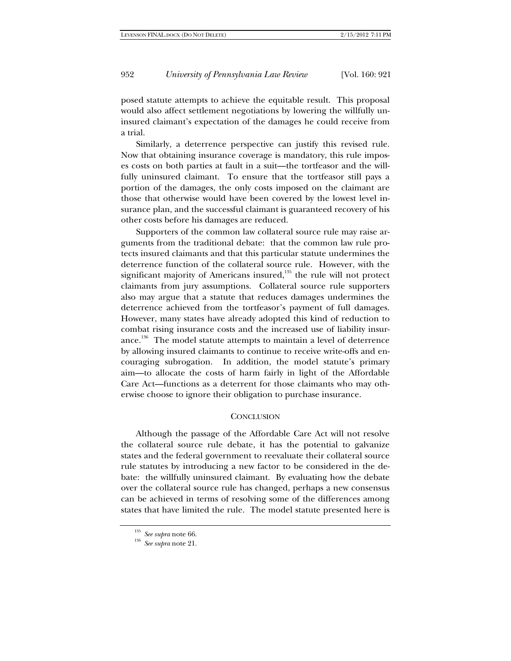posed statute attempts to achieve the equitable result. This proposal would also affect settlement negotiations by lowering the willfully uninsured claimant's expectation of the damages he could receive from a trial.

Similarly, a deterrence perspective can justify this revised rule. Now that obtaining insurance coverage is mandatory, this rule imposes costs on both parties at fault in a suit—the tortfeasor and the willfully uninsured claimant. To ensure that the tortfeasor still pays a portion of the damages, the only costs imposed on the claimant are those that otherwise would have been covered by the lowest level insurance plan, and the successful claimant is guaranteed recovery of his other costs before his damages are reduced.

Supporters of the common law collateral source rule may raise arguments from the traditional debate: that the common law rule protects insured claimants and that this particular statute undermines the deterrence function of the collateral source rule. However, with the significant majority of Americans insured, $135$  the rule will not protect claimants from jury assumptions. Collateral source rule supporters also may argue that a statute that reduces damages undermines the deterrence achieved from the tortfeasor's payment of full damages. However, many states have already adopted this kind of reduction to combat rising insurance costs and the increased use of liability insurance.<sup>136</sup> The model statute attempts to maintain a level of deterrence by allowing insured claimants to continue to receive write-offs and encouraging subrogation. In addition, the model statute's primary aim—to allocate the costs of harm fairly in light of the Affordable Care Act—functions as a deterrent for those claimants who may otherwise choose to ignore their obligation to purchase insurance.

#### **CONCLUSION**

Although the passage of the Affordable Care Act will not resolve the collateral source rule debate, it has the potential to galvanize states and the federal government to reevaluate their collateral source rule statutes by introducing a new factor to be considered in the debate: the willfully uninsured claimant. By evaluating how the debate over the collateral source rule has changed, perhaps a new consensus can be achieved in terms of resolving some of the differences among states that have limited the rule. The model statute presented here is

<sup>135</sup> *See supra* note 66. 136 *See supra* note 21.